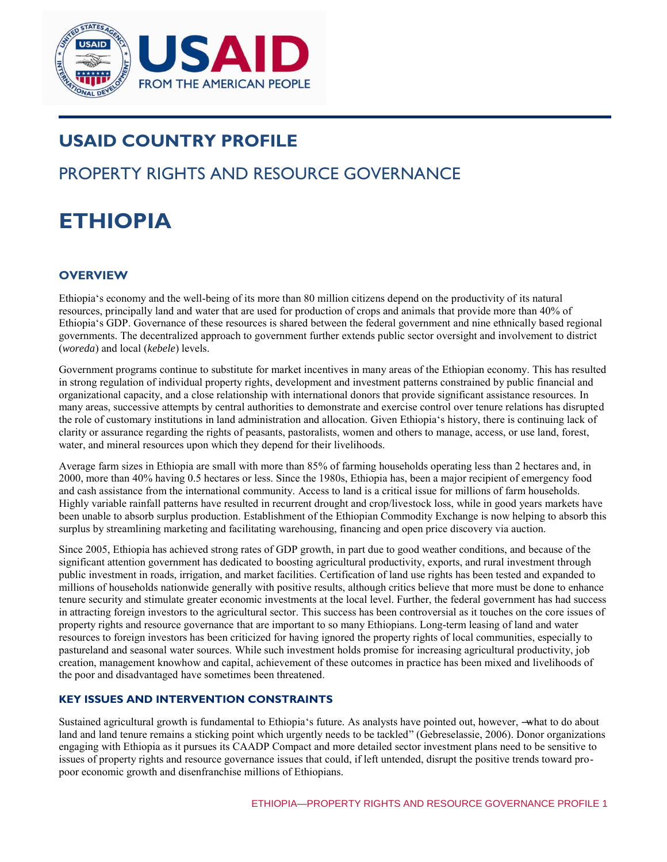

# **USAID COUNTRY PROFILE**

# PROPERTY RIGHTS AND RESOURCE GOVERNANCE

# **ETHIOPIA**

# **OVERVIEW**

Ethiopia's economy and the well-being of its more than 80 million citizens depend on the productivity of its natural resources, principally land and water that are used for production of crops and animals that provide more than 40% of Ethiopia's GDP. Governance of these resources is shared between the federal government and nine ethnically based regional governments. The decentralized approach to government further extends public sector oversight and involvement to district (*woreda*) and local (*kebele*) levels.

Government programs continue to substitute for market incentives in many areas of the Ethiopian economy. This has resulted in strong regulation of individual property rights, development and investment patterns constrained by public financial and organizational capacity, and a close relationship with international donors that provide significant assistance resources. In many areas, successive attempts by central authorities to demonstrate and exercise control over tenure relations has disrupted the role of customary institutions in land administration and allocation. Given Ethiopia's history, there is continuing lack of clarity or assurance regarding the rights of peasants, pastoralists, women and others to manage, access, or use land, forest, water, and mineral resources upon which they depend for their livelihoods.

Average farm sizes in Ethiopia are small with more than 85% of farming households operating less than 2 hectares and, in 2000, more than 40% having 0.5 hectares or less. Since the 1980s, Ethiopia has, been a major recipient of emergency food and cash assistance from the international community. Access to land is a critical issue for millions of farm households. Highly variable rainfall patterns have resulted in recurrent drought and crop/livestock loss, while in good years markets have been unable to absorb surplus production. Establishment of the Ethiopian Commodity Exchange is now helping to absorb this surplus by streamlining marketing and facilitating warehousing, financing and open price discovery via auction.

Since 2005, Ethiopia has achieved strong rates of GDP growth, in part due to good weather conditions, and because of the significant attention government has dedicated to boosting agricultural productivity, exports, and rural investment through public investment in roads, irrigation, and market facilities. Certification of land use rights has been tested and expanded to millions of households nationwide generally with positive results, although critics believe that more must be done to enhance tenure security and stimulate greater economic investments at the local level. Further, the federal government has had success in attracting foreign investors to the agricultural sector. This success has been controversial as it touches on the core issues of property rights and resource governance that are important to so many Ethiopians. Long-term leasing of land and water resources to foreign investors has been criticized for having ignored the property rights of local communities, especially to pastureland and seasonal water sources. While such investment holds promise for increasing agricultural productivity, job creation, management knowhow and capital, achievement of these outcomes in practice has been mixed and livelihoods of the poor and disadvantaged have sometimes been threatened.

## **KEY ISSUES AND INTERVENTION CONSTRAINTS**

Sustained agricultural growth is fundamental to Ethiopia's future. As analysts have pointed out, however, —what to do about land and land tenure remains a sticking point which urgently needs to be tackled" (Gebreselassie, 2006). Donor organizations engaging with Ethiopia as it pursues its CAADP Compact and more detailed sector investment plans need to be sensitive to issues of property rights and resource governance issues that could, if left untended, disrupt the positive trends toward propoor economic growth and disenfranchise millions of Ethiopians.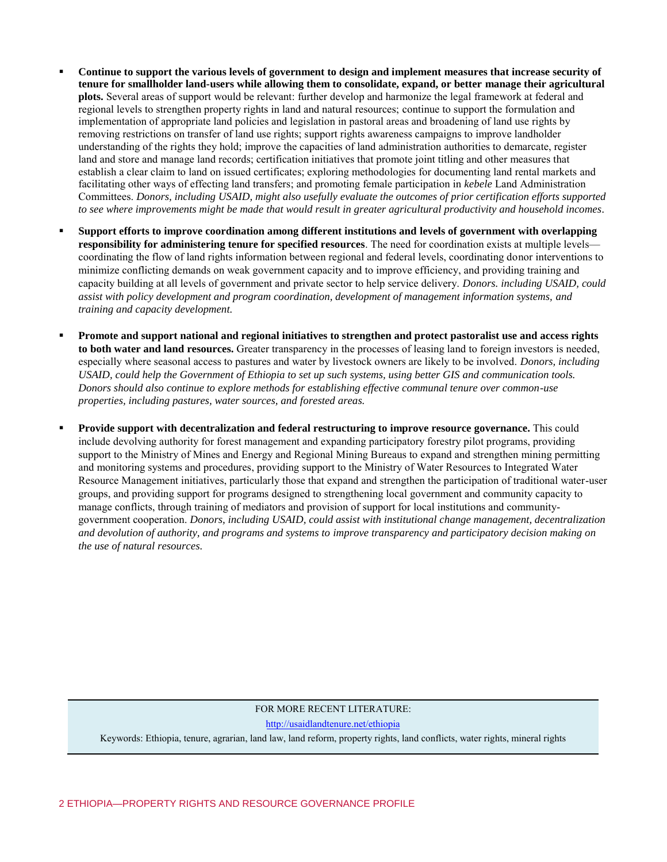- **Continue to support the various levels of government to design and implement measures that increase security of tenure for smallholder land-users while allowing them to consolidate, expand, or better manage their agricultural plots.** Several areas of support would be relevant: further develop and harmonize the legal framework at federal and regional levels to strengthen property rights in land and natural resources; continue to support the formulation and implementation of appropriate land policies and legislation in pastoral areas and broadening of land use rights by removing restrictions on transfer of land use rights; support rights awareness campaigns to improve landholder understanding of the rights they hold; improve the capacities of land administration authorities to demarcate, register land and store and manage land records; certification initiatives that promote joint titling and other measures that establish a clear claim to land on issued certificates; exploring methodologies for documenting land rental markets and facilitating other ways of effecting land transfers; and promoting female participation in *kebele* Land Administration Committees. *Donors, including USAID, might also usefully evaluate the outcomes of prior certification efforts supported to see where improvements might be made that would result in greater agricultural productivity and household incomes.*
- **Support efforts to improve coordination among different institutions and levels of government with overlapping responsibility for administering tenure for specified resources**. The need for coordination exists at multiple levels coordinating the flow of land rights information between regional and federal levels, coordinating donor interventions to minimize conflicting demands on weak government capacity and to improve efficiency, and providing training and capacity building at all levels of government and private sector to help service delivery. *Donors. including USAID, could assist with policy development and program coordination, development of management information systems, and training and capacity development.*
- **Promote and support national and regional initiatives to strengthen and protect pastoralist use and access rights to both water and land resources.** Greater transparency in the processes of leasing land to foreign investors is needed, especially where seasonal access to pastures and water by livestock owners are likely to be involved. *Donors, including USAID, could help the Government of Ethiopia to set up such systems, using better GIS and communication tools. Donors should also continue to explore methods for establishing effective communal tenure over common-use properties, including pastures, water sources, and forested areas.*
- **Provide support with decentralization and federal restructuring to improve resource governance.** This could include devolving authority for forest management and expanding participatory forestry pilot programs, providing support to the Ministry of Mines and Energy and Regional Mining Bureaus to expand and strengthen mining permitting and monitoring systems and procedures, providing support to the Ministry of Water Resources to Integrated Water Resource Management initiatives, particularly those that expand and strengthen the participation of traditional water-user groups, and providing support for programs designed to strengthening local government and community capacity to manage conflicts, through training of mediators and provision of support for local institutions and communitygovernment cooperation. *Donors, including USAID, could assist with institutional change management, decentralization and devolution of authority, and programs and systems to improve transparency and participatory decision making on the use of natural resources.*

#### FOR MORE RECENT LITERATURE:

<http://usaidlandtenure.net/ethiopia>

Keywords: Ethiopia, tenure, agrarian, land law, land reform, property rights, land conflicts, water rights, mineral rights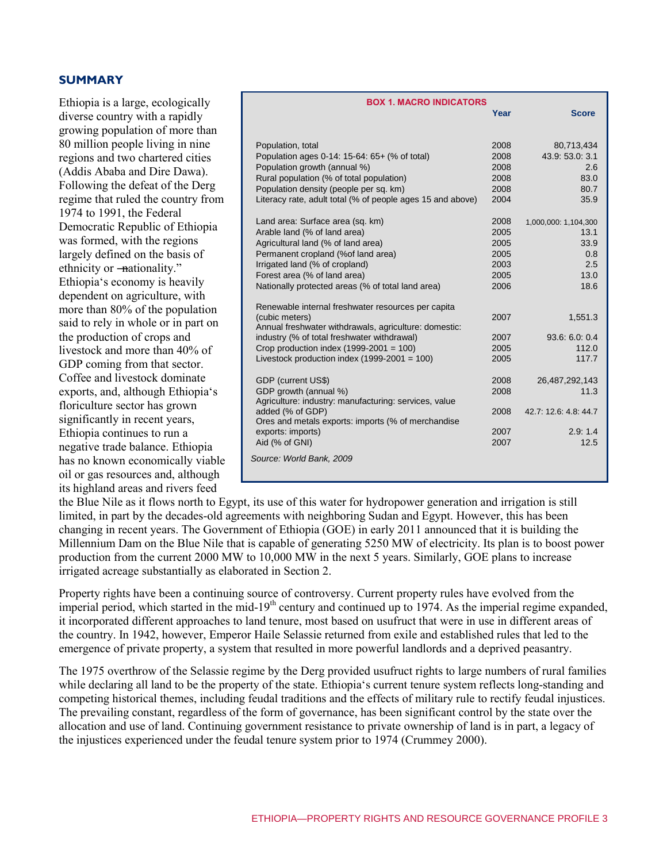#### **SUMMARY**

Ethiopia is a large, ecologically diverse country with a rapidly growing population of more than 80 million people living in nine regions and two chartered cities (Addis Ababa and Dire Dawa). Following the defeat of the Derg regime that ruled the country from 1974 to 1991, the Federal Democratic Republic of Ethiopia was formed, with the regions largely defined on the basis of ethnicity or —nationality." Ethiopia's economy is heavily dependent on agriculture, with more than 80% of the population said to rely in whole or in part on the production of crops and livestock and more than 40% of GDP coming from that sector. Coffee and livestock dominate exports, and, although Ethiopia's floriculture sector has grown significantly in recent years, Ethiopia continues to run a negative trade balance. Ethiopia has no known economically viable oil or gas resources and, although its highland areas and rivers feed

| <b>BOX 1. MACRO INDICATORS</b>                             |      |                       |  |  |
|------------------------------------------------------------|------|-----------------------|--|--|
|                                                            | Year | <b>Score</b>          |  |  |
|                                                            |      |                       |  |  |
|                                                            |      |                       |  |  |
| Population, total                                          | 2008 | 80,713,434            |  |  |
| Population ages 0-14: 15-64: 65+ (% of total)              | 2008 | 43.9: 53.0: 3.1       |  |  |
| Population growth (annual %)                               | 2008 | 2.6                   |  |  |
| Rural population (% of total population)                   | 2008 | 83.0                  |  |  |
| Population density (people per sq. km)                     | 2008 | 80.7                  |  |  |
| Literacy rate, adult total (% of people ages 15 and above) | 2004 | 35.9                  |  |  |
| Land area: Surface area (sq. km)                           | 2008 | 1,000,000: 1,104,300  |  |  |
| Arable land (% of land area)                               | 2005 | 13.1                  |  |  |
| Agricultural land (% of land area)                         | 2005 | 33.9                  |  |  |
| Permanent cropland (%of land area)                         | 2005 | 0.8                   |  |  |
| Irrigated land (% of cropland)                             | 2003 | 2.5                   |  |  |
| Forest area (% of land area)                               | 2005 | 13.0                  |  |  |
| Nationally protected areas (% of total land area)          | 2006 | 18.6                  |  |  |
|                                                            |      |                       |  |  |
| Renewable internal freshwater resources per capita         |      |                       |  |  |
| (cubic meters)                                             | 2007 | 1,551.3               |  |  |
| Annual freshwater withdrawals, agriculture: domestic:      |      |                       |  |  |
| industry (% of total freshwater withdrawal)                | 2007 | 93.6:6.0:0.4          |  |  |
| Crop production index $(1999-2001 = 100)$                  | 2005 | 112.0                 |  |  |
| Livestock production index $(1999-2001 = 100)$             | 2005 | 117.7                 |  |  |
|                                                            |      |                       |  |  |
| GDP (current US\$)                                         | 2008 | 26,487,292,143        |  |  |
| GDP growth (annual %)                                      | 2008 | 11.3                  |  |  |
| Agriculture: industry: manufacturing: services, value      |      |                       |  |  |
| added (% of GDP)                                           | 2008 | 42.7: 12.6: 4.8: 44.7 |  |  |
| Ores and metals exports: imports (% of merchandise         |      |                       |  |  |
| exports: imports)                                          | 2007 | 2.9:1.4               |  |  |
| Aid (% of GNI)                                             | 2007 | 12.5                  |  |  |
| Source: World Bank, 2009                                   |      |                       |  |  |
|                                                            |      |                       |  |  |
|                                                            |      |                       |  |  |

the Blue Nile as it flows north to Egypt, its use of this water for hydropower generation and irrigation is still limited, in part by the decades-old agreements with neighboring Sudan and Egypt. However, this has been changing in recent years. The Government of Ethiopia (GOE) in early 2011 announced that it is building the Millennium Dam on the Blue Nile that is capable of generating 5250 MW of electricity. Its plan is to boost power production from the current 2000 MW to 10,000 MW in the next 5 years. Similarly, GOE plans to increase irrigated acreage substantially as elaborated in Section 2.

Property rights have been a continuing source of controversy. Current property rules have evolved from the imperial period, which started in the mid-19<sup>th</sup> century and continued up to 1974. As the imperial regime expanded, it incorporated different approaches to land tenure, most based on usufruct that were in use in different areas of the country. In 1942, however, Emperor Haile Selassie returned from exile and established rules that led to the emergence of private property, a system that resulted in more powerful landlords and a deprived peasantry.

The 1975 overthrow of the Selassie regime by the Derg provided usufruct rights to large numbers of rural families while declaring all land to be the property of the state. Ethiopia's current tenure system reflects long-standing and competing historical themes, including feudal traditions and the effects of military rule to rectify feudal injustices. The prevailing constant, regardless of the form of governance, has been significant control by the state over the allocation and use of land. Continuing government resistance to private ownership of land is in part, a legacy of the injustices experienced under the feudal tenure system prior to 1974 (Crummey 2000).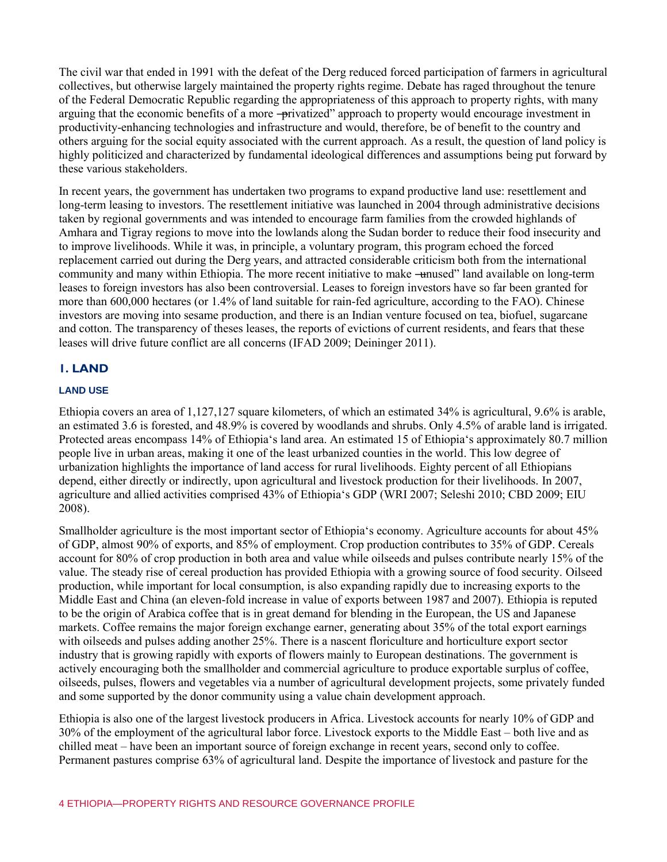The civil war that ended in 1991 with the defeat of the Derg reduced forced participation of farmers in agricultural collectives, but otherwise largely maintained the property rights regime. Debate has raged throughout the tenure of the Federal Democratic Republic regarding the appropriateness of this approach to property rights, with many arguing that the economic benefits of a more -privatized" approach to property would encourage investment in productivity-enhancing technologies and infrastructure and would, therefore, be of benefit to the country and others arguing for the social equity associated with the current approach. As a result, the question of land policy is highly politicized and characterized by fundamental ideological differences and assumptions being put forward by these various stakeholders.

In recent years, the government has undertaken two programs to expand productive land use: resettlement and long-term leasing to investors. The resettlement initiative was launched in 2004 through administrative decisions taken by regional governments and was intended to encourage farm families from the crowded highlands of Amhara and Tigray regions to move into the lowlands along the Sudan border to reduce their food insecurity and to improve livelihoods. While it was, in principle, a voluntary program, this program echoed the forced replacement carried out during the Derg years, and attracted considerable criticism both from the international community and many within Ethiopia. The more recent initiative to make —unused" land available on long-term leases to foreign investors has also been controversial. Leases to foreign investors have so far been granted for more than 600,000 hectares (or 1.4% of land suitable for rain-fed agriculture, according to the FAO). Chinese investors are moving into sesame production, and there is an Indian venture focused on tea, biofuel, sugarcane and cotton. The transparency of theses leases, the reports of evictions of current residents, and fears that these leases will drive future conflict are all concerns (IFAD 2009; Deininger 2011).

# **1. LAND**

# **LAND USE**

Ethiopia covers an area of 1,127,127 square kilometers, of which an estimated 34% is agricultural, 9.6% is arable, an estimated 3.6 is forested, and 48.9% is covered by woodlands and shrubs. Only 4.5% of arable land is irrigated. Protected areas encompass 14% of Ethiopia's land area. An estimated 15 of Ethiopia's approximately 80.7 million people live in urban areas, making it one of the least urbanized counties in the world. This low degree of urbanization highlights the importance of land access for rural livelihoods. Eighty percent of all Ethiopians depend, either directly or indirectly, upon agricultural and livestock production for their livelihoods. In 2007, agriculture and allied activities comprised 43% of Ethiopia's GDP (WRI 2007; Seleshi 2010; CBD 2009; EIU 2008).

Smallholder agriculture is the most important sector of Ethiopia's economy. Agriculture accounts for about 45% of GDP, almost 90% of exports, and 85% of employment. Crop production contributes to 35% of GDP. Cereals account for 80% of crop production in both area and value while oilseeds and pulses contribute nearly 15% of the value. The steady rise of cereal production has provided Ethiopia with a growing source of food security. Oilseed production, while important for local consumption, is also expanding rapidly due to increasing exports to the Middle East and China (an eleven-fold increase in value of exports between 1987 and 2007). Ethiopia is reputed to be the origin of Arabica coffee that is in great demand for blending in the European, the US and Japanese markets. Coffee remains the major foreign exchange earner, generating about 35% of the total export earnings with oilseeds and pulses adding another 25%. There is a nascent floriculture and horticulture export sector industry that is growing rapidly with exports of flowers mainly to European destinations. The government is actively encouraging both the smallholder and commercial agriculture to produce exportable surplus of coffee, oilseeds, pulses, flowers and vegetables via a number of agricultural development projects, some privately funded and some supported by the donor community using a value chain development approach.

Ethiopia is also one of the largest livestock producers in Africa. Livestock accounts for nearly 10% of GDP and 30% of the employment of the agricultural labor force. Livestock exports to the Middle East – both live and as chilled meat – have been an important source of foreign exchange in recent years, second only to coffee. Permanent pastures comprise 63% of agricultural land. Despite the importance of livestock and pasture for the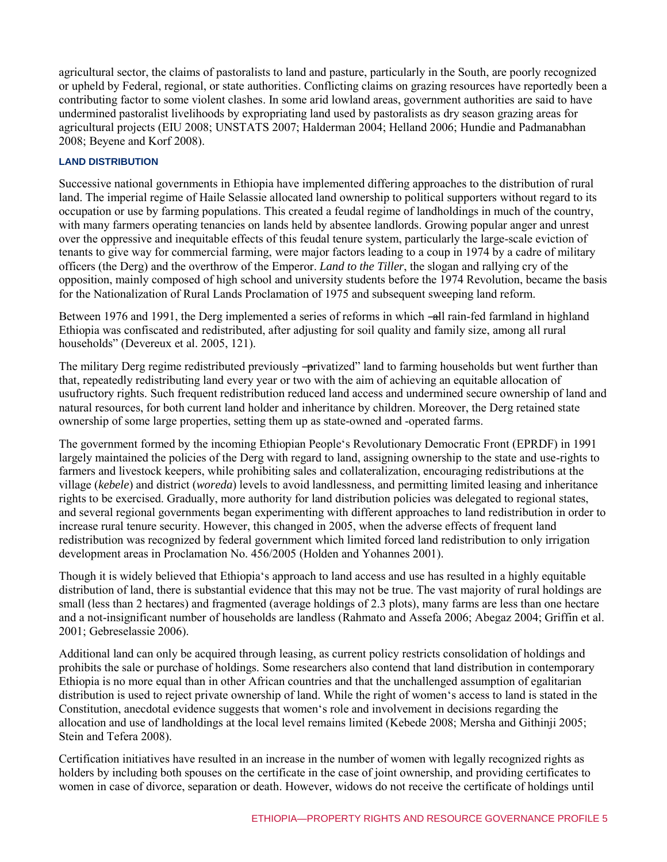agricultural sector, the claims of pastoralists to land and pasture, particularly in the South, are poorly recognized or upheld by Federal, regional, or state authorities. Conflicting claims on grazing resources have reportedly been a contributing factor to some violent clashes. In some arid lowland areas, government authorities are said to have undermined pastoralist livelihoods by expropriating land used by pastoralists as dry season grazing areas for agricultural projects (EIU 2008; UNSTATS 2007; Halderman 2004; Helland 2006; Hundie and Padmanabhan 2008; Beyene and Korf 2008).

# **LAND DISTRIBUTION**

Successive national governments in Ethiopia have implemented differing approaches to the distribution of rural land. The imperial regime of Haile Selassie allocated land ownership to political supporters without regard to its occupation or use by farming populations. This created a feudal regime of landholdings in much of the country, with many farmers operating tenancies on lands held by absentee landlords. Growing popular anger and unrest over the oppressive and inequitable effects of this feudal tenure system, particularly the large-scale eviction of tenants to give way for commercial farming, were major factors leading to a coup in 1974 by a cadre of military officers (the Derg) and the overthrow of the Emperor. *Land to the Tiller*, the slogan and rallying cry of the opposition, mainly composed of high school and university students before the 1974 Revolution, became the basis for the Nationalization of Rural Lands Proclamation of 1975 and subsequent sweeping land reform.

Between 1976 and 1991, the Derg implemented a series of reforms in which —all rain-fed farmland in highland Ethiopia was confiscated and redistributed, after adjusting for soil quality and family size, among all rural households" (Devereux et al. 2005, 121).

The military Derg regime redistributed previously —privatized" land to farming households but went further than that, repeatedly redistributing land every year or two with the aim of achieving an equitable allocation of usufructory rights. Such frequent redistribution reduced land access and undermined secure ownership of land and natural resources, for both current land holder and inheritance by children. Moreover, the Derg retained state ownership of some large properties, setting them up as state-owned and -operated farms.

The government formed by the incoming Ethiopian People's Revolutionary Democratic Front (EPRDF) in 1991 largely maintained the policies of the Derg with regard to land, assigning ownership to the state and use-rights to farmers and livestock keepers, while prohibiting sales and collateralization, encouraging redistributions at the village (*kebele*) and district (*woreda*) levels to avoid landlessness, and permitting limited leasing and inheritance rights to be exercised. Gradually, more authority for land distribution policies was delegated to regional states, and several regional governments began experimenting with different approaches to land redistribution in order to increase rural tenure security. However, this changed in 2005, when the adverse effects of frequent land redistribution was recognized by federal government which limited forced land redistribution to only irrigation development areas in Proclamation No. 456/2005 (Holden and Yohannes 2001).

Though it is widely believed that Ethiopia's approach to land access and use has resulted in a highly equitable distribution of land, there is substantial evidence that this may not be true. The vast majority of rural holdings are small (less than 2 hectares) and fragmented (average holdings of 2.3 plots), many farms are less than one hectare and a not-insignificant number of households are landless (Rahmato and Assefa 2006; Abegaz 2004; Griffin et al. 2001; Gebreselassie 2006).

Additional land can only be acquired through leasing, as current policy restricts consolidation of holdings and prohibits the sale or purchase of holdings. Some researchers also contend that land distribution in contemporary Ethiopia is no more equal than in other African countries and that the unchallenged assumption of egalitarian distribution is used to reject private ownership of land. While the right of women's access to land is stated in the Constitution, anecdotal evidence suggests that women's role and involvement in decisions regarding the allocation and use of landholdings at the local level remains limited (Kebede 2008; Mersha and Githinji 2005; Stein and Tefera 2008).

Certification initiatives have resulted in an increase in the number of women with legally recognized rights as holders by including both spouses on the certificate in the case of joint ownership, and providing certificates to women in case of divorce, separation or death. However, widows do not receive the certificate of holdings until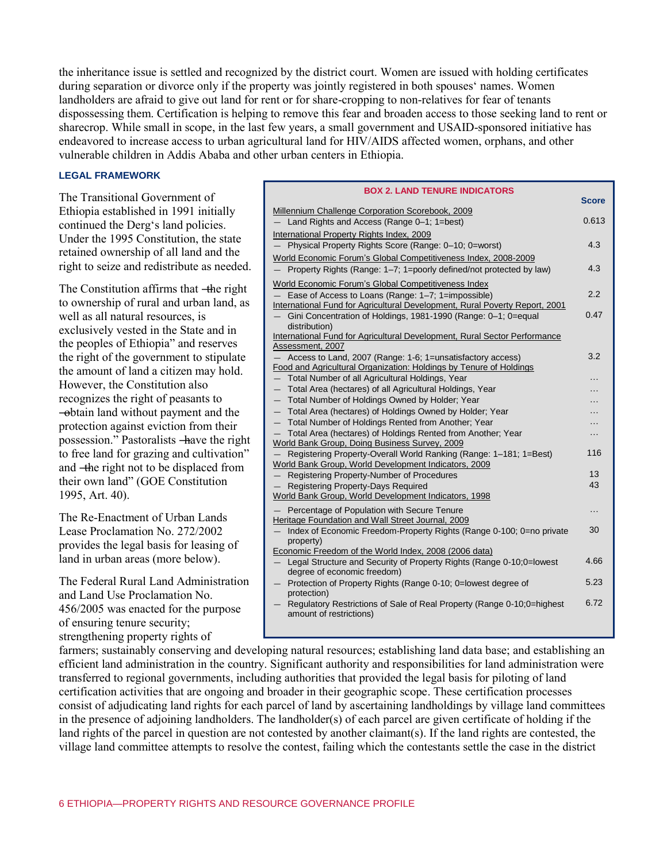the inheritance issue is settled and recognized by the district court. Women are issued with holding certificates during separation or divorce only if the property was jointly registered in both spouses' names. Women landholders are afraid to give out land for rent or for share-cropping to non-relatives for fear of tenants dispossessing them. Certification is helping to remove this fear and broaden access to those seeking land to rent or sharecrop. While small in scope, in the last few years, a small government and USAID-sponsored initiative has endeavored to increase access to urban agricultural land for HIV/AIDS affected women, orphans, and other vulnerable children in Addis Ababa and other urban centers in Ethiopia.

#### **LEGAL FRAMEWORK**

The Transitional Government of Ethiopia established in 1991 initially continued the Derg's land policies. Under the 1995 Constitution, the state retained ownership of all land and the right to seize and redistribute as needed.

The Constitution affirms that —the right to ownership of rural and urban land, as well as all natural resources, is exclusively vested in the State and in the peoples of Ethiopia" and reserves the right of the government to stipulate the amount of land a citizen may hold. However, the Constitution also recognizes the right of peasants to ―obtain land without payment and the protection against eviction from their possession.‖ Pastoralists ―have the right to free land for grazing and cultivation" and ―the right not to be displaced from their own land" (GOE Constitution 1995, Art. 40).

The Re-Enactment of Urban Lands Lease Proclamation No. 272/2002 provides the legal basis for leasing of land in urban areas (more below).

The Federal Rural Land Administration and Land Use Proclamation No. 456/2005 was enacted for the purpose of ensuring tenure security; strengthening property rights of

#### **BOX 2. LAND TENURE INDICATORS**

| Millennium Challenge Corporation Scorebook, 2009                                                    |       |
|-----------------------------------------------------------------------------------------------------|-------|
| Land Rights and Access (Range 0-1; 1=best)                                                          | 0.613 |
|                                                                                                     |       |
| International Property Rights Index, 2009                                                           | 4.3   |
| Physical Property Rights Score (Range: 0-10; 0=worst)                                               |       |
| World Economic Forum's Global Competitiveness Index, 2008-2009                                      |       |
| - Property Rights (Range: 1-7; 1=poorly defined/not protected by law)                               | 4.3   |
| World Economic Forum's Global Competitiveness Index                                                 |       |
| Ease of Access to Loans (Range: 1-7; 1=impossible)                                                  | 2.2   |
| International Fund for Agricultural Development, Rural Poverty Report, 2001                         |       |
| - Gini Concentration of Holdings, 1981-1990 (Range: 0-1; 0=equal<br>distribution)                   | 0.47  |
| International Fund for Agricultural Development, Rural Sector Performance                           |       |
| Assessment, 2007                                                                                    |       |
| Access to Land, 2007 (Range: 1-6; 1=unsatisfactory access)                                          | 3.2   |
| Food and Agricultural Organization: Holdings by Tenure of Holdings                                  |       |
| Total Number of all Agricultural Holdings, Year                                                     | .     |
| - Total Area (hectares) of all Agricultural Holdings, Year                                          |       |
| - Total Number of Holdings Owned by Holder; Year                                                    |       |
| - Total Area (hectares) of Holdings Owned by Holder; Year                                           |       |
| - Total Number of Holdings Rented from Another; Year                                                |       |
| Total Area (hectares) of Holdings Rented from Another; Year                                         | .     |
| World Bank Group, Doing Business Survey, 2009                                                       |       |
| Registering Property-Overall World Ranking (Range: 1-181; 1=Best)                                   | 116   |
| World Bank Group, World Development Indicators, 2009                                                |       |
| Registering Property-Number of Procedures                                                           | 13    |
| Registering Property-Days Required                                                                  | 43    |
| World Bank Group, World Development Indicators, 1998                                                |       |
| Percentage of Population with Secure Tenure                                                         | .     |
| Heritage Foundation and Wall Street Journal, 2009                                                   |       |
| Index of Economic Freedom-Property Rights (Range 0-100; 0=no private<br>property)                   | 30    |
| Economic Freedom of the World Index, 2008 (2006 data)                                               |       |
| Legal Structure and Security of Property Rights (Range 0-10;0=lowest<br>$-$                         | 4.66  |
| degree of economic freedom)                                                                         |       |
| - Protection of Property Rights (Range 0-10; 0=lowest degree of                                     | 5.23  |
| protection)                                                                                         |       |
| - Regulatory Restrictions of Sale of Real Property (Range 0-10;0=highest<br>amount of restrictions) | 6.72  |

farmers; sustainably conserving and developing natural resources; establishing land data base; and establishing an efficient land administration in the country. Significant authority and responsibilities for land administration were transferred to regional governments, including authorities that provided the legal basis for piloting of land certification activities that are ongoing and broader in their geographic scope. These certification processes consist of adjudicating land rights for each parcel of land by ascertaining landholdings by village land committees in the presence of adjoining landholders. The landholder(s) of each parcel are given certificate of holding if the land rights of the parcel in question are not contested by another claimant(s). If the land rights are contested, the village land committee attempts to resolve the contest, failing which the contestants settle the case in the district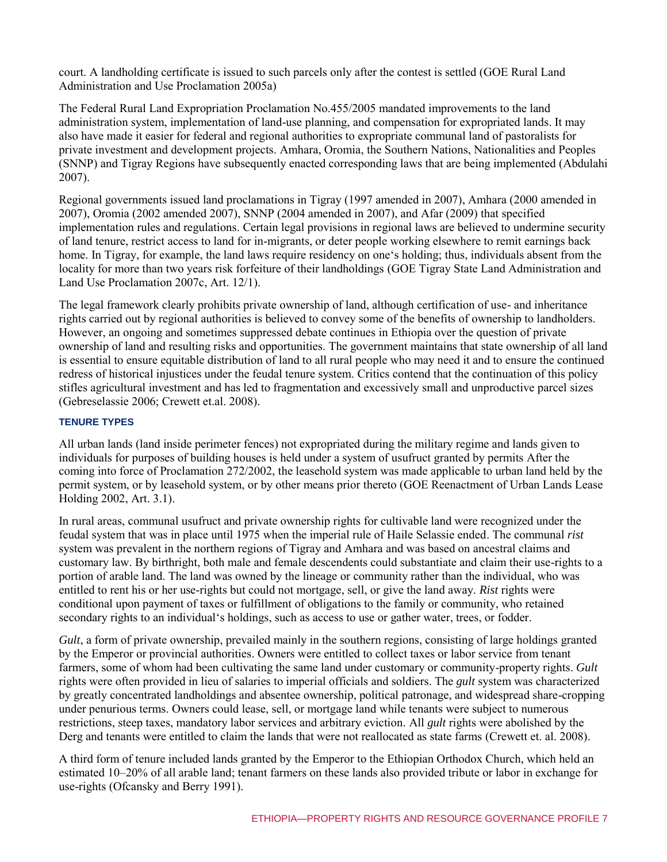court. A landholding certificate is issued to such parcels only after the contest is settled (GOE Rural Land Administration and Use Proclamation 2005a)

The Federal Rural Land Expropriation Proclamation No.455/2005 mandated improvements to the land administration system, implementation of land-use planning, and compensation for expropriated lands. It may also have made it easier for federal and regional authorities to expropriate communal land of pastoralists for private investment and development projects. Amhara, Oromia, the Southern Nations, Nationalities and Peoples (SNNP) and Tigray Regions have subsequently enacted corresponding laws that are being implemented (Abdulahi 2007).

Regional governments issued land proclamations in Tigray (1997 amended in 2007), Amhara (2000 amended in 2007), Oromia (2002 amended 2007), SNNP (2004 amended in 2007), and Afar (2009) that specified implementation rules and regulations. Certain legal provisions in regional laws are believed to undermine security of land tenure, restrict access to land for in-migrants, or deter people working elsewhere to remit earnings back home. In Tigray, for example, the land laws require residency on one's holding; thus, individuals absent from the locality for more than two years risk forfeiture of their landholdings (GOE Tigray State Land Administration and Land Use Proclamation 2007c, Art. 12/1).

The legal framework clearly prohibits private ownership of land, although certification of use- and inheritance rights carried out by regional authorities is believed to convey some of the benefits of ownership to landholders. However, an ongoing and sometimes suppressed debate continues in Ethiopia over the question of private ownership of land and resulting risks and opportunities. The government maintains that state ownership of all land is essential to ensure equitable distribution of land to all rural people who may need it and to ensure the continued redress of historical injustices under the feudal tenure system. Critics contend that the continuation of this policy stifles agricultural investment and has led to fragmentation and excessively small and unproductive parcel sizes (Gebreselassie 2006; Crewett et.al. 2008).

#### **TENURE TYPES**

All urban lands (land inside perimeter fences) not expropriated during the military regime and lands given to individuals for purposes of building houses is held under a system of usufruct granted by permits After the coming into force of Proclamation 272/2002, the leasehold system was made applicable to urban land held by the permit system, or by leasehold system, or by other means prior thereto (GOE Reenactment of Urban Lands Lease Holding 2002, Art. 3.1).

In rural areas, communal usufruct and private ownership rights for cultivable land were recognized under the feudal system that was in place until 1975 when the imperial rule of Haile Selassie ended. The communal *rist*  system was prevalent in the northern regions of Tigray and Amhara and was based on ancestral claims and customary law. By birthright, both male and female descendents could substantiate and claim their use-rights to a portion of arable land. The land was owned by the lineage or community rather than the individual, who was entitled to rent his or her use-rights but could not mortgage, sell, or give the land away. *Rist* rights were conditional upon payment of taxes or fulfillment of obligations to the family or community, who retained secondary rights to an individual's holdings, such as access to use or gather water, trees, or fodder.

*Gult*, a form of private ownership, prevailed mainly in the southern regions, consisting of large holdings granted by the Emperor or provincial authorities. Owners were entitled to collect taxes or labor service from tenant farmers, some of whom had been cultivating the same land under customary or community-property rights. *Gult*  rights were often provided in lieu of salaries to imperial officials and soldiers. The *gult* system was characterized by greatly concentrated landholdings and absentee ownership, political patronage, and widespread share-cropping under penurious terms. Owners could lease, sell, or mortgage land while tenants were subject to numerous restrictions, steep taxes, mandatory labor services and arbitrary eviction. All *gult* rights were abolished by the Derg and tenants were entitled to claim the lands that were not reallocated as state farms (Crewett et. al. 2008).

A third form of tenure included lands granted by the Emperor to the Ethiopian Orthodox Church, which held an estimated 10–20% of all arable land; tenant farmers on these lands also provided tribute or labor in exchange for use-rights (Ofcansky and Berry 1991).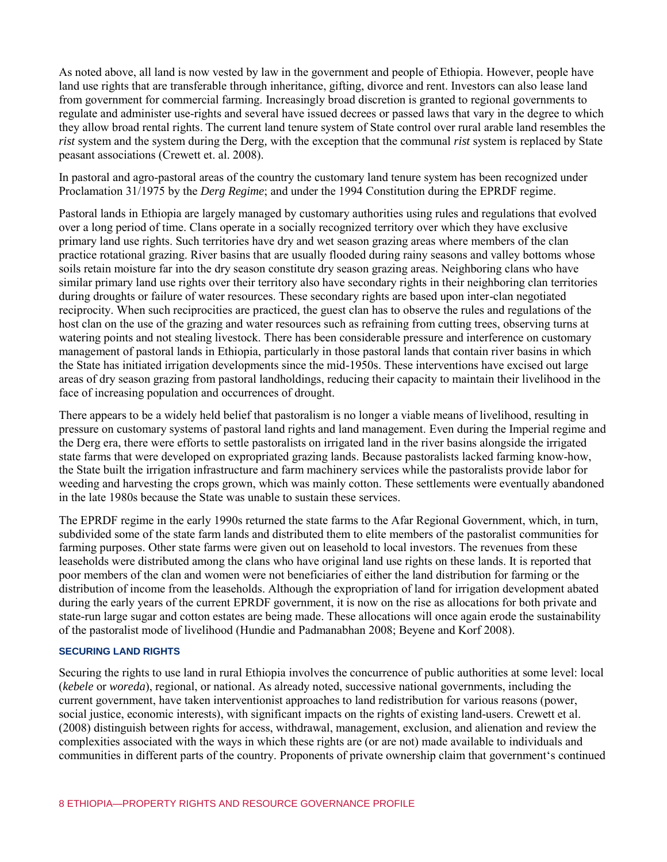As noted above, all land is now vested by law in the government and people of Ethiopia. However, people have land use rights that are transferable through inheritance, gifting, divorce and rent. Investors can also lease land from government for commercial farming. Increasingly broad discretion is granted to regional governments to regulate and administer use-rights and several have issued decrees or passed laws that vary in the degree to which they allow broad rental rights. The current land tenure system of State control over rural arable land resembles the *rist* system and the system during the Derg*,* with the exception that the communal *rist* system is replaced by State peasant associations (Crewett et. al. 2008).

In pastoral and agro-pastoral areas of the country the customary land tenure system has been recognized under Proclamation 31/1975 by the *Derg Regime*; and under the 1994 Constitution during the EPRDF regime.

Pastoral lands in Ethiopia are largely managed by customary authorities using rules and regulations that evolved over a long period of time. Clans operate in a socially recognized territory over which they have exclusive primary land use rights. Such territories have dry and wet season grazing areas where members of the clan practice rotational grazing. River basins that are usually flooded during rainy seasons and valley bottoms whose soils retain moisture far into the dry season constitute dry season grazing areas. Neighboring clans who have similar primary land use rights over their territory also have secondary rights in their neighboring clan territories during droughts or failure of water resources. These secondary rights are based upon inter-clan negotiated reciprocity. When such reciprocities are practiced, the guest clan has to observe the rules and regulations of the host clan on the use of the grazing and water resources such as refraining from cutting trees, observing turns at watering points and not stealing livestock. There has been considerable pressure and interference on customary management of pastoral lands in Ethiopia, particularly in those pastoral lands that contain river basins in which the State has initiated irrigation developments since the mid-1950s. These interventions have excised out large areas of dry season grazing from pastoral landholdings, reducing their capacity to maintain their livelihood in the face of increasing population and occurrences of drought.

There appears to be a widely held belief that pastoralism is no longer a viable means of livelihood, resulting in pressure on customary systems of pastoral land rights and land management. Even during the Imperial regime and the Derg era, there were efforts to settle pastoralists on irrigated land in the river basins alongside the irrigated state farms that were developed on expropriated grazing lands. Because pastoralists lacked farming know-how, the State built the irrigation infrastructure and farm machinery services while the pastoralists provide labor for weeding and harvesting the crops grown, which was mainly cotton. These settlements were eventually abandoned in the late 1980s because the State was unable to sustain these services.

The EPRDF regime in the early 1990s returned the state farms to the Afar Regional Government, which, in turn, subdivided some of the state farm lands and distributed them to elite members of the pastoralist communities for farming purposes. Other state farms were given out on leasehold to local investors. The revenues from these leaseholds were distributed among the clans who have original land use rights on these lands. It is reported that poor members of the clan and women were not beneficiaries of either the land distribution for farming or the distribution of income from the leaseholds. Although the expropriation of land for irrigation development abated during the early years of the current EPRDF government, it is now on the rise as allocations for both private and state-run large sugar and cotton estates are being made. These allocations will once again erode the sustainability of the pastoralist mode of livelihood (Hundie and Padmanabhan 2008; Beyene and Korf 2008).

#### **SECURING LAND RIGHTS**

Securing the rights to use land in rural Ethiopia involves the concurrence of public authorities at some level: local (*kebele* or *woreda*), regional, or national. As already noted, successive national governments, including the current government, have taken interventionist approaches to land redistribution for various reasons (power, social justice, economic interests), with significant impacts on the rights of existing land-users. Crewett et al. (2008) distinguish between rights for access, withdrawal, management, exclusion, and alienation and review the complexities associated with the ways in which these rights are (or are not) made available to individuals and communities in different parts of the country. Proponents of private ownership claim that government's continued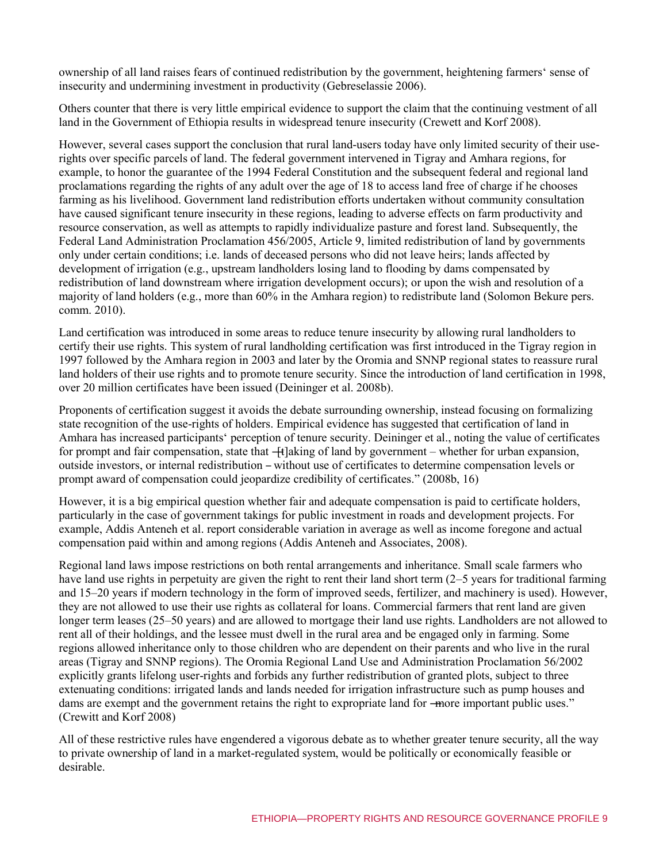ownership of all land raises fears of continued redistribution by the government, heightening farmers' sense of insecurity and undermining investment in productivity (Gebreselassie 2006).

Others counter that there is very little empirical evidence to support the claim that the continuing vestment of all land in the Government of Ethiopia results in widespread tenure insecurity (Crewett and Korf 2008).

However, several cases support the conclusion that rural land-users today have only limited security of their userights over specific parcels of land. The federal government intervened in Tigray and Amhara regions, for example, to honor the guarantee of the 1994 Federal Constitution and the subsequent federal and regional land proclamations regarding the rights of any adult over the age of 18 to access land free of charge if he chooses farming as his livelihood. Government land redistribution efforts undertaken without community consultation have caused significant tenure insecurity in these regions, leading to adverse effects on farm productivity and resource conservation, as well as attempts to rapidly individualize pasture and forest land. Subsequently, the Federal Land Administration Proclamation 456/2005, Article 9, limited redistribution of land by governments only under certain conditions; i.e. lands of deceased persons who did not leave heirs; lands affected by development of irrigation (e.g., upstream landholders losing land to flooding by dams compensated by redistribution of land downstream where irrigation development occurs); or upon the wish and resolution of a majority of land holders (e.g., more than 60% in the Amhara region) to redistribute land (Solomon Bekure pers. comm. 2010).

Land certification was introduced in some areas to reduce tenure insecurity by allowing rural landholders to certify their use rights. This system of rural landholding certification was first introduced in the Tigray region in 1997 followed by the Amhara region in 2003 and later by the Oromia and SNNP regional states to reassure rural land holders of their use rights and to promote tenure security. Since the introduction of land certification in 1998, over 20 million certificates have been issued (Deininger et al. 2008b).

Proponents of certification suggest it avoids the debate surrounding ownership, instead focusing on formalizing state recognition of the use-rights of holders. Empirical evidence has suggested that certification of land in Amhara has increased participants' perception of tenure security. Deininger et al., noting the value of certificates for prompt and fair compensation, state that —[t]aking of land by government – whether for urban expansion, outside investors, or internal redistribution – without use of certificates to determine compensation levels or prompt award of compensation could jeopardize credibility of certificates." (2008b, 16)

However, it is a big empirical question whether fair and adequate compensation is paid to certificate holders, particularly in the case of government takings for public investment in roads and development projects. For example, Addis Anteneh et al. report considerable variation in average as well as income foregone and actual compensation paid within and among regions (Addis Anteneh and Associates, 2008).

Regional land laws impose restrictions on both rental arrangements and inheritance. Small scale farmers who have land use rights in perpetuity are given the right to rent their land short term (2–5 years for traditional farming and 15–20 years if modern technology in the form of improved seeds, fertilizer, and machinery is used). However, they are not allowed to use their use rights as collateral for loans. Commercial farmers that rent land are given longer term leases (25–50 years) and are allowed to mortgage their land use rights. Landholders are not allowed to rent all of their holdings, and the lessee must dwell in the rural area and be engaged only in farming. Some regions allowed inheritance only to those children who are dependent on their parents and who live in the rural areas (Tigray and SNNP regions). The Oromia Regional Land Use and Administration Proclamation 56/2002 explicitly grants lifelong user-rights and forbids any further redistribution of granted plots, subject to three extenuating conditions: irrigated lands and lands needed for irrigation infrastructure such as pump houses and dams are exempt and the government retains the right to expropriate land for —more important public uses." (Crewitt and Korf 2008)

All of these restrictive rules have engendered a vigorous debate as to whether greater tenure security, all the way to private ownership of land in a market-regulated system, would be politically or economically feasible or desirable.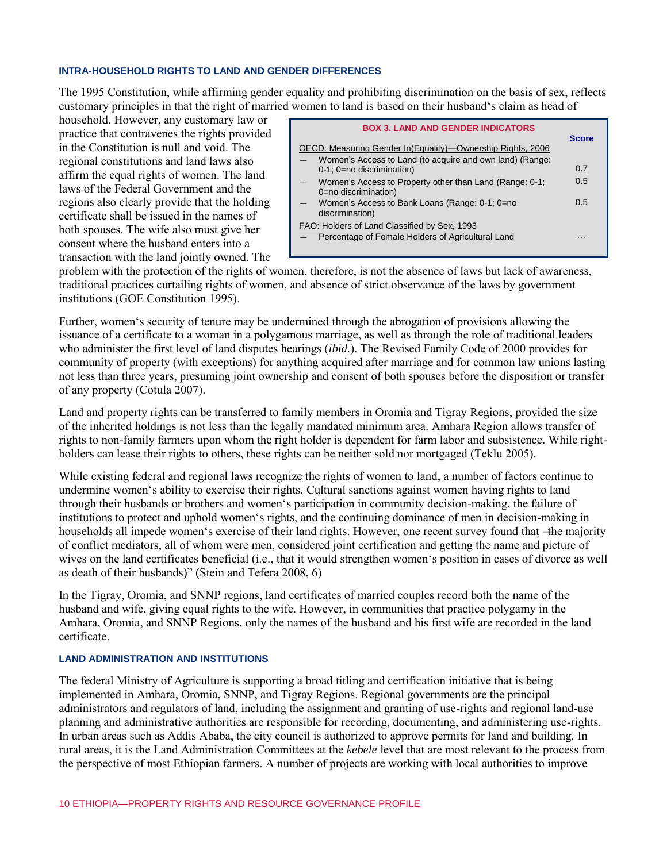#### **INTRA-HOUSEHOLD RIGHTS TO LAND AND GENDER DIFFERENCES**

The 1995 Constitution, while affirming gender equality and prohibiting discrimination on the basis of sex, reflects customary principles in that the right of married women to land is based on their husband's claim as head of

household. However, any customary law or practice that contravenes the rights provided in the Constitution is null and void. The regional constitutions and land laws also affirm the equal rights of women. The land laws of the Federal Government and the regions also clearly provide that the holding certificate shall be issued in the names of both spouses. The wife also must give her consent where the husband enters into a transaction with the land jointly owned. The

| <b>BOX 3. LAND AND GENDER INDICATORS</b>                                                                                                             |                     |
|------------------------------------------------------------------------------------------------------------------------------------------------------|---------------------|
| OECD: Measuring Gender In (Equality)—Ownership Rights, 2006<br>Women's Access to Land (to acquire and own land) (Range:<br>0-1; 0=no discrimination) | <b>Score</b><br>0.7 |
| Women's Access to Property other than Land (Range: 0-1;<br>0=no discrimination)<br>Women's Access to Bank Loans (Range: 0-1; 0=no<br>discrimination) | 0.5<br>0.5          |
| FAO: Holders of Land Classified by Sex, 1993<br>Percentage of Female Holders of Agricultural Land                                                    |                     |

problem with the protection of the rights of women, therefore, is not the absence of laws but lack of awareness, traditional practices curtailing rights of women, and absence of strict observance of the laws by government institutions (GOE Constitution 1995).

Further, women's security of tenure may be undermined through the abrogation of provisions allowing the issuance of a certificate to a woman in a polygamous marriage, as well as through the role of traditional leaders who administer the first level of land disputes hearings (*ibid.*). The Revised Family Code of 2000 provides for community of property (with exceptions) for anything acquired after marriage and for common law unions lasting not less than three years, presuming joint ownership and consent of both spouses before the disposition or transfer of any property (Cotula 2007).

Land and property rights can be transferred to family members in Oromia and Tigray Regions, provided the size of the inherited holdings is not less than the legally mandated minimum area. Amhara Region allows transfer of rights to non-family farmers upon whom the right holder is dependent for farm labor and subsistence. While rightholders can lease their rights to others, these rights can be neither sold nor mortgaged (Teklu 2005).

While existing federal and regional laws recognize the rights of women to land, a number of factors continue to undermine women's ability to exercise their rights. Cultural sanctions against women having rights to land through their husbands or brothers and women's participation in community decision-making, the failure of institutions to protect and uphold women's rights, and the continuing dominance of men in decision-making in households all impede women's exercise of their land rights. However, one recent survey found that —the majority of conflict mediators, all of whom were men, considered joint certification and getting the name and picture of wives on the land certificates beneficial (i.e., that it would strengthen women's position in cases of divorce as well as death of their husbands)" (Stein and Tefera 2008, 6)

In the Tigray, Oromia, and SNNP regions, land certificates of married couples record both the name of the husband and wife, giving equal rights to the wife. However, in communities that practice polygamy in the Amhara, Oromia, and SNNP Regions, only the names of the husband and his first wife are recorded in the land certificate.

#### **LAND ADMINISTRATION AND INSTITUTIONS**

The federal Ministry of Agriculture is supporting a broad titling and certification initiative that is being implemented in Amhara, Oromia, SNNP, and Tigray Regions. Regional governments are the principal administrators and regulators of land, including the assignment and granting of use-rights and regional land-use planning and administrative authorities are responsible for recording, documenting, and administering use-rights. In urban areas such as Addis Ababa, the city council is authorized to approve permits for land and building. In rural areas, it is the Land Administration Committees at the *kebele* level that are most relevant to the process from the perspective of most Ethiopian farmers. A number of projects are working with local authorities to improve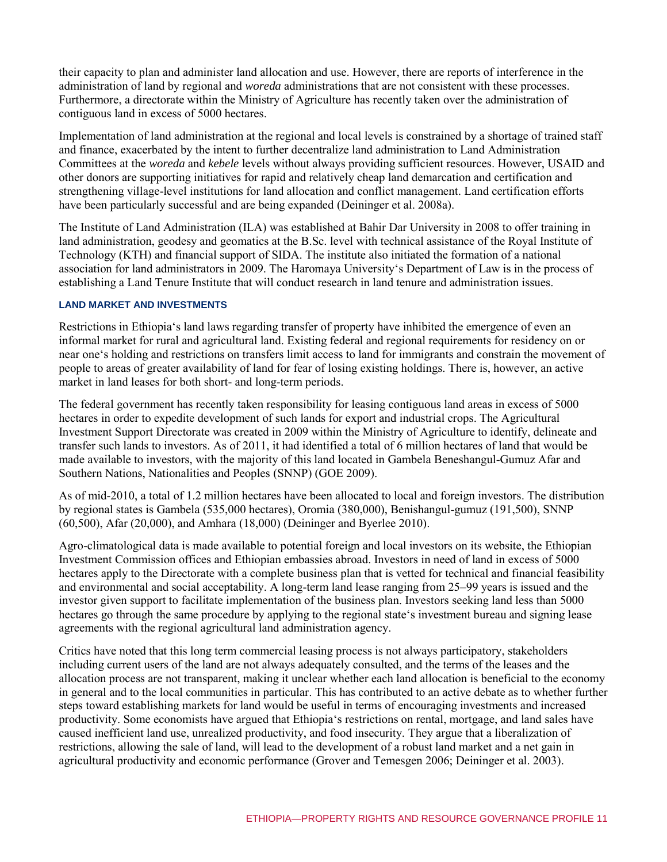their capacity to plan and administer land allocation and use. However, there are reports of interference in the administration of land by regional and *woreda* administrations that are not consistent with these processes. Furthermore, a directorate within the Ministry of Agriculture has recently taken over the administration of contiguous land in excess of 5000 hectares.

Implementation of land administration at the regional and local levels is constrained by a shortage of trained staff and finance, exacerbated by the intent to further decentralize land administration to Land Administration Committees at the *woreda* and *kebele* levels without always providing sufficient resources. However, USAID and other donors are supporting initiatives for rapid and relatively cheap land demarcation and certification and strengthening village-level institutions for land allocation and conflict management. Land certification efforts have been particularly successful and are being expanded (Deininger et al. 2008a).

The Institute of Land Administration (ILA) was established at Bahir Dar University in 2008 to offer training in land administration, geodesy and geomatics at the B.Sc. level with technical assistance of the Royal Institute of Technology (KTH) and financial support of SIDA. The institute also initiated the formation of a national association for land administrators in 2009. The Haromaya University's Department of Law is in the process of establishing a Land Tenure Institute that will conduct research in land tenure and administration issues.

#### **LAND MARKET AND INVESTMENTS**

Restrictions in Ethiopia's land laws regarding transfer of property have inhibited the emergence of even an informal market for rural and agricultural land. Existing federal and regional requirements for residency on or near one's holding and restrictions on transfers limit access to land for immigrants and constrain the movement of people to areas of greater availability of land for fear of losing existing holdings. There is, however, an active market in land leases for both short- and long-term periods.

The federal government has recently taken responsibility for leasing contiguous land areas in excess of 5000 hectares in order to expedite development of such lands for export and industrial crops. The Agricultural Investment Support Directorate was created in 2009 within the Ministry of Agriculture to identify, delineate and transfer such lands to investors. As of 2011, it had identified a total of 6 million hectares of land that would be made available to investors, with the majority of this land located in Gambela Beneshangul-Gumuz Afar and Southern Nations, Nationalities and Peoples (SNNP) (GOE 2009).

As of mid-2010, a total of 1.2 million hectares have been allocated to local and foreign investors. The distribution by regional states is Gambela (535,000 hectares), Oromia (380,000), Benishangul-gumuz (191,500), SNNP (60,500), Afar (20,000), and Amhara (18,000) (Deininger and Byerlee 2010).

Agro-climatological data is made available to potential foreign and local investors on its website, the Ethiopian Investment Commission offices and Ethiopian embassies abroad. Investors in need of land in excess of 5000 hectares apply to the Directorate with a complete business plan that is vetted for technical and financial feasibility and environmental and social acceptability. A long-term land lease ranging from 25–99 years is issued and the investor given support to facilitate implementation of the business plan. Investors seeking land less than 5000 hectares go through the same procedure by applying to the regional state's investment bureau and signing lease agreements with the regional agricultural land administration agency.

Critics have noted that this long term commercial leasing process is not always participatory, stakeholders including current users of the land are not always adequately consulted, and the terms of the leases and the allocation process are not transparent, making it unclear whether each land allocation is beneficial to the economy in general and to the local communities in particular. This has contributed to an active debate as to whether further steps toward establishing markets for land would be useful in terms of encouraging investments and increased productivity. Some economists have argued that Ethiopia's restrictions on rental, mortgage, and land sales have caused inefficient land use, unrealized productivity, and food insecurity. They argue that a liberalization of restrictions, allowing the sale of land, will lead to the development of a robust land market and a net gain in agricultural productivity and economic performance (Grover and Temesgen 2006; Deininger et al. 2003).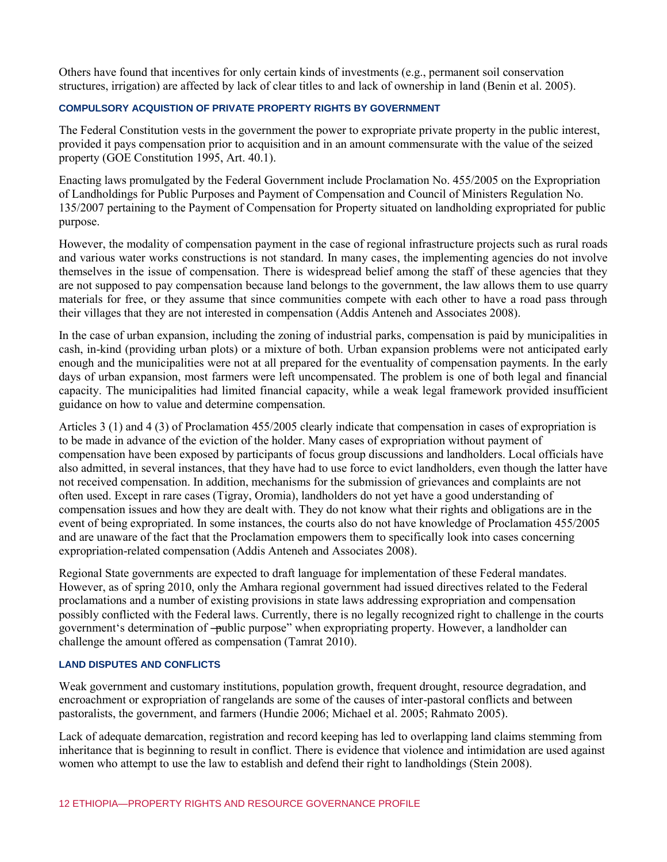Others have found that incentives for only certain kinds of investments (e.g., permanent soil conservation structures, irrigation) are affected by lack of clear titles to and lack of ownership in land (Benin et al. 2005).

#### **COMPULSORY ACQUISTION OF PRIVATE PROPERTY RIGHTS BY GOVERNMENT**

The Federal Constitution vests in the government the power to expropriate private property in the public interest, provided it pays compensation prior to acquisition and in an amount commensurate with the value of the seized property (GOE Constitution 1995, Art. 40.1).

Enacting laws promulgated by the Federal Government include Proclamation No. 455/2005 on the Expropriation of Landholdings for Public Purposes and Payment of Compensation and Council of Ministers Regulation No. 135/2007 pertaining to the Payment of Compensation for Property situated on landholding expropriated for public purpose.

However, the modality of compensation payment in the case of regional infrastructure projects such as rural roads and various water works constructions is not standard. In many cases, the implementing agencies do not involve themselves in the issue of compensation. There is widespread belief among the staff of these agencies that they are not supposed to pay compensation because land belongs to the government, the law allows them to use quarry materials for free, or they assume that since communities compete with each other to have a road pass through their villages that they are not interested in compensation (Addis Anteneh and Associates 2008).

In the case of urban expansion, including the zoning of industrial parks, compensation is paid by municipalities in cash, in-kind (providing urban plots) or a mixture of both. Urban expansion problems were not anticipated early enough and the municipalities were not at all prepared for the eventuality of compensation payments. In the early days of urban expansion, most farmers were left uncompensated. The problem is one of both legal and financial capacity. The municipalities had limited financial capacity, while a weak legal framework provided insufficient guidance on how to value and determine compensation.

Articles 3 (1) and 4 (3) of Proclamation 455/2005 clearly indicate that compensation in cases of expropriation is to be made in advance of the eviction of the holder. Many cases of expropriation without payment of compensation have been exposed by participants of focus group discussions and landholders. Local officials have also admitted, in several instances, that they have had to use force to evict landholders, even though the latter have not received compensation. In addition, mechanisms for the submission of grievances and complaints are not often used. Except in rare cases (Tigray, Oromia), landholders do not yet have a good understanding of compensation issues and how they are dealt with. They do not know what their rights and obligations are in the event of being expropriated. In some instances, the courts also do not have knowledge of Proclamation 455/2005 and are unaware of the fact that the Proclamation empowers them to specifically look into cases concerning expropriation-related compensation (Addis Anteneh and Associates 2008).

Regional State governments are expected to draft language for implementation of these Federal mandates. However, as of spring 2010, only the Amhara regional government had issued directives related to the Federal proclamations and a number of existing provisions in state laws addressing expropriation and compensation possibly conflicted with the Federal laws. Currently, there is no legally recognized right to challenge in the courts government's determination of —public purpose" when expropriating property. However, a landholder can challenge the amount offered as compensation (Tamrat 2010).

# **LAND DISPUTES AND CONFLICTS**

Weak government and customary institutions, population growth, frequent drought, resource degradation, and encroachment or expropriation of rangelands are some of the causes of inter-pastoral conflicts and between pastoralists, the government, and farmers (Hundie 2006; Michael et al. 2005; Rahmato 2005).

Lack of adequate demarcation, registration and record keeping has led to overlapping land claims stemming from inheritance that is beginning to result in conflict. There is evidence that violence and intimidation are used against women who attempt to use the law to establish and defend their right to landholdings (Stein 2008).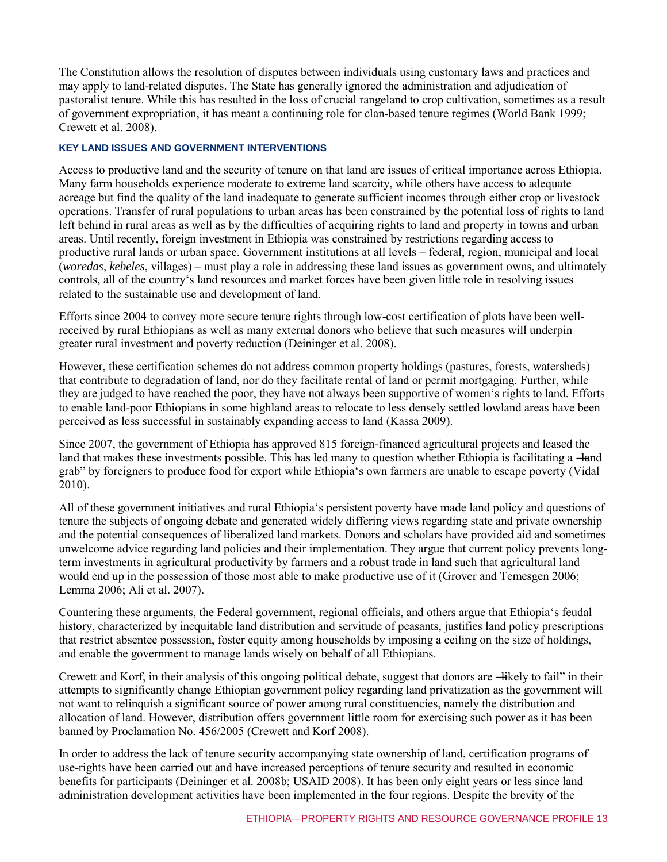The Constitution allows the resolution of disputes between individuals using customary laws and practices and may apply to land-related disputes. The State has generally ignored the administration and adjudication of pastoralist tenure. While this has resulted in the loss of crucial rangeland to crop cultivation, sometimes as a result of government expropriation, it has meant a continuing role for clan-based tenure regimes (World Bank 1999; Crewett et al. 2008).

#### **KEY LAND ISSUES AND GOVERNMENT INTERVENTIONS**

Access to productive land and the security of tenure on that land are issues of critical importance across Ethiopia. Many farm households experience moderate to extreme land scarcity, while others have access to adequate acreage but find the quality of the land inadequate to generate sufficient incomes through either crop or livestock operations. Transfer of rural populations to urban areas has been constrained by the potential loss of rights to land left behind in rural areas as well as by the difficulties of acquiring rights to land and property in towns and urban areas. Until recently, foreign investment in Ethiopia was constrained by restrictions regarding access to productive rural lands or urban space. Government institutions at all levels – federal, region, municipal and local (*woredas*, *kebeles*, villages) – must play a role in addressing these land issues as government owns, and ultimately controls, all of the country's land resources and market forces have been given little role in resolving issues related to the sustainable use and development of land.

Efforts since 2004 to convey more secure tenure rights through low-cost certification of plots have been wellreceived by rural Ethiopians as well as many external donors who believe that such measures will underpin greater rural investment and poverty reduction (Deininger et al. 2008).

However, these certification schemes do not address common property holdings (pastures, forests, watersheds) that contribute to degradation of land, nor do they facilitate rental of land or permit mortgaging. Further, while they are judged to have reached the poor, they have not always been supportive of women's rights to land. Efforts to enable land-poor Ethiopians in some highland areas to relocate to less densely settled lowland areas have been perceived as less successful in sustainably expanding access to land (Kassa 2009).

Since 2007, the government of Ethiopia has approved 815 foreign-financed agricultural projects and leased the land that makes these investments possible. This has led many to question whether Ethiopia is facilitating a —land grab‖ by foreigners to produce food for export while Ethiopia's own farmers are unable to escape poverty (Vidal 2010).

All of these government initiatives and rural Ethiopia's persistent poverty have made land policy and questions of tenure the subjects of ongoing debate and generated widely differing views regarding state and private ownership and the potential consequences of liberalized land markets. Donors and scholars have provided aid and sometimes unwelcome advice regarding land policies and their implementation. They argue that current policy prevents longterm investments in agricultural productivity by farmers and a robust trade in land such that agricultural land would end up in the possession of those most able to make productive use of it (Grover and Temesgen 2006; Lemma 2006; Ali et al. 2007).

Countering these arguments, the Federal government, regional officials, and others argue that Ethiopia's feudal history, characterized by inequitable land distribution and servitude of peasants, justifies land policy prescriptions that restrict absentee possession, foster equity among households by imposing a ceiling on the size of holdings, and enable the government to manage lands wisely on behalf of all Ethiopians.

Crewett and Korf, in their analysis of this ongoing political debate, suggest that donors are —ikely to fail" in their attempts to significantly change Ethiopian government policy regarding land privatization as the government will not want to relinquish a significant source of power among rural constituencies, namely the distribution and allocation of land. However, distribution offers government little room for exercising such power as it has been banned by Proclamation No. 456/2005 (Crewett and Korf 2008).

In order to address the lack of tenure security accompanying state ownership of land, certification programs of use-rights have been carried out and have increased perceptions of tenure security and resulted in economic benefits for participants (Deininger et al. 2008b; USAID 2008). It has been only eight years or less since land administration development activities have been implemented in the four regions. Despite the brevity of the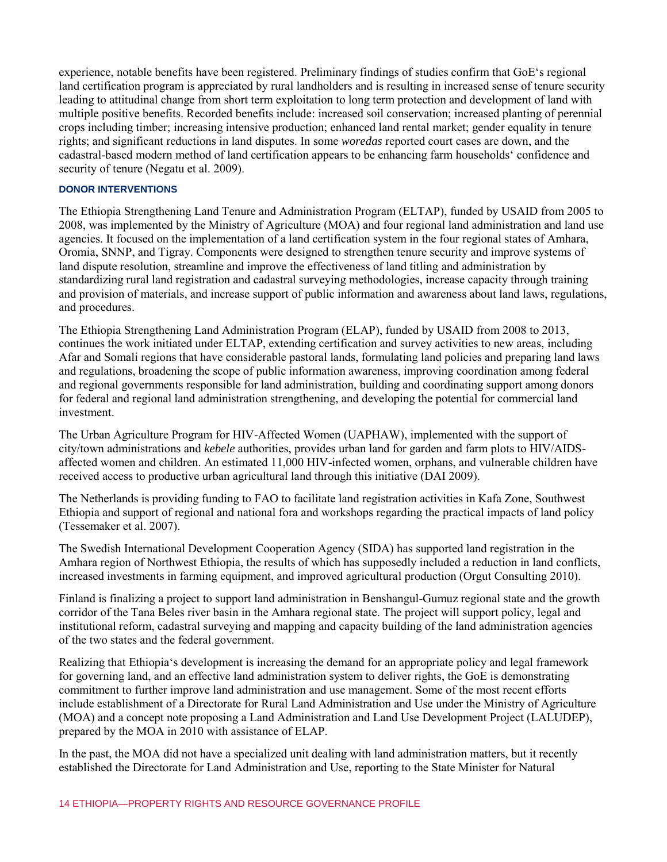experience, notable benefits have been registered. Preliminary findings of studies confirm that GoE's regional land certification program is appreciated by rural landholders and is resulting in increased sense of tenure security leading to attitudinal change from short term exploitation to long term protection and development of land with multiple positive benefits. Recorded benefits include: increased soil conservation; increased planting of perennial crops including timber; increasing intensive production; enhanced land rental market; gender equality in tenure rights; and significant reductions in land disputes. In some *woredas* reported court cases are down, and the cadastral-based modern method of land certification appears to be enhancing farm households' confidence and security of tenure (Negatu et al. 2009).

#### **DONOR INTERVENTIONS**

The Ethiopia Strengthening Land Tenure and Administration Program (ELTAP), funded by USAID from 2005 to 2008, was implemented by the Ministry of Agriculture (MOA) and four regional land administration and land use agencies. It focused on the implementation of a land certification system in the four regional states of Amhara, Oromia, SNNP, and Tigray. Components were designed to strengthen tenure security and improve systems of land dispute resolution, streamline and improve the effectiveness of land titling and administration by standardizing rural land registration and cadastral surveying methodologies, increase capacity through training and provision of materials, and increase support of public information and awareness about land laws, regulations, and procedures.

The Ethiopia Strengthening Land Administration Program (ELAP), funded by USAID from 2008 to 2013, continues the work initiated under ELTAP, extending certification and survey activities to new areas, including Afar and Somali regions that have considerable pastoral lands, formulating land policies and preparing land laws and regulations, broadening the scope of public information awareness, improving coordination among federal and regional governments responsible for land administration, building and coordinating support among donors for federal and regional land administration strengthening, and developing the potential for commercial land investment.

The Urban Agriculture Program for HIV-Affected Women (UAPHAW), implemented with the support of city/town administrations and *kebele* authorities, provides urban land for garden and farm plots to HIV/AIDSaffected women and children. An estimated 11,000 HIV-infected women, orphans, and vulnerable children have received access to productive urban agricultural land through this initiative (DAI 2009).

The Netherlands is providing funding to FAO to facilitate land registration activities in Kafa Zone, Southwest Ethiopia and support of regional and national fora and workshops regarding the practical impacts of land policy (Tessemaker et al. 2007).

The Swedish International Development Cooperation Agency (SIDA) has supported land registration in the Amhara region of Northwest Ethiopia, the results of which has supposedly included a reduction in land conflicts, increased investments in farming equipment, and improved agricultural production (Orgut Consulting 2010).

Finland is finalizing a project to support land administration in Benshangul-Gumuz regional state and the growth corridor of the Tana Beles river basin in the Amhara regional state. The project will support policy, legal and institutional reform, cadastral surveying and mapping and capacity building of the land administration agencies of the two states and the federal government.

Realizing that Ethiopia's development is increasing the demand for an appropriate policy and legal framework for governing land, and an effective land administration system to deliver rights, the GoE is demonstrating commitment to further improve land administration and use management. Some of the most recent efforts include establishment of a Directorate for Rural Land Administration and Use under the Ministry of Agriculture (MOA) and a concept note proposing a Land Administration and Land Use Development Project (LALUDEP), prepared by the MOA in 2010 with assistance of ELAP.

In the past, the MOA did not have a specialized unit dealing with land administration matters, but it recently established the Directorate for Land Administration and Use, reporting to the State Minister for Natural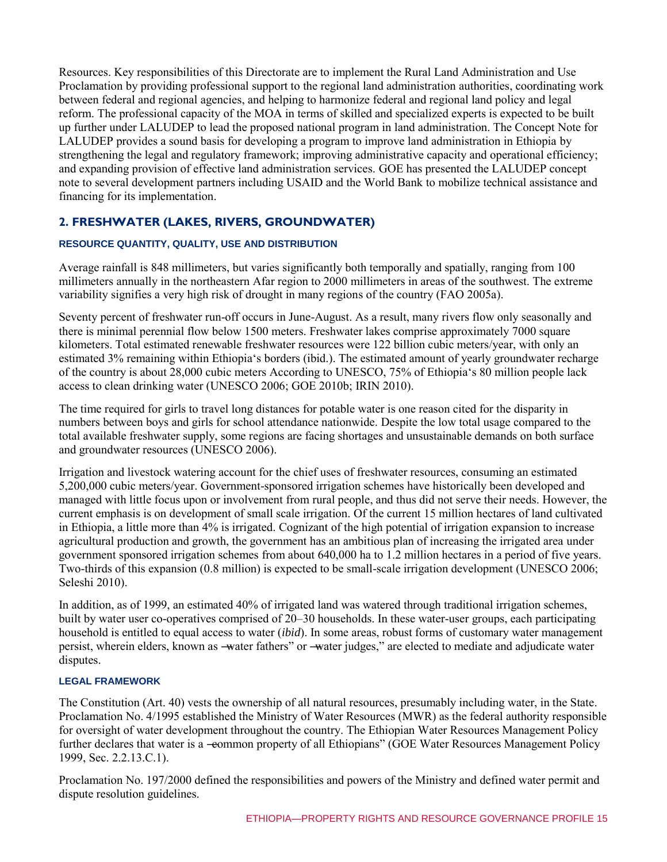Resources. Key responsibilities of this Directorate are to implement the Rural Land Administration and Use Proclamation by providing professional support to the regional land administration authorities, coordinating work between federal and regional agencies, and helping to harmonize federal and regional land policy and legal reform. The professional capacity of the MOA in terms of skilled and specialized experts is expected to be built up further under LALUDEP to lead the proposed national program in land administration. The Concept Note for LALUDEP provides a sound basis for developing a program to improve land administration in Ethiopia by strengthening the legal and regulatory framework; improving administrative capacity and operational efficiency; and expanding provision of effective land administration services. GOE has presented the LALUDEP concept note to several development partners including USAID and the World Bank to mobilize technical assistance and financing for its implementation.

# **2. FRESHWATER (LAKES, RIVERS, GROUNDWATER)**

# **RESOURCE QUANTITY, QUALITY, USE AND DISTRIBUTION**

Average rainfall is 848 millimeters, but varies significantly both temporally and spatially, ranging from 100 millimeters annually in the northeastern Afar region to 2000 millimeters in areas of the southwest. The extreme variability signifies a very high risk of drought in many regions of the country (FAO 2005a).

Seventy percent of freshwater run-off occurs in June-August. As a result, many rivers flow only seasonally and there is minimal perennial flow below 1500 meters. Freshwater lakes comprise approximately 7000 square kilometers. Total estimated renewable freshwater resources were 122 billion cubic meters/year, with only an estimated 3% remaining within Ethiopia's borders (ibid.). The estimated amount of yearly groundwater recharge of the country is about 28,000 cubic meters According to UNESCO, 75% of Ethiopia's 80 million people lack access to clean drinking water (UNESCO 2006; GOE 2010b; IRIN 2010).

The time required for girls to travel long distances for potable water is one reason cited for the disparity in numbers between boys and girls for school attendance nationwide. Despite the low total usage compared to the total available freshwater supply, some regions are facing shortages and unsustainable demands on both surface and groundwater resources (UNESCO 2006).

Irrigation and livestock watering account for the chief uses of freshwater resources, consuming an estimated 5,200,000 cubic meters/year. Government-sponsored irrigation schemes have historically been developed and managed with little focus upon or involvement from rural people, and thus did not serve their needs. However, the current emphasis is on development of small scale irrigation. Of the current 15 million hectares of land cultivated in Ethiopia, a little more than 4% is irrigated. Cognizant of the high potential of irrigation expansion to increase agricultural production and growth, the government has an ambitious plan of increasing the irrigated area under government sponsored irrigation schemes from about 640,000 ha to 1.2 million hectares in a period of five years. Two-thirds of this expansion (0.8 million) is expected to be small-scale irrigation development (UNESCO 2006; Seleshi 2010).

In addition, as of 1999, an estimated 40% of irrigated land was watered through traditional irrigation schemes, built by water user co-operatives comprised of 20–30 households. In these water-user groups, each participating household is entitled to equal access to water (*ibid*). In some areas, robust forms of customary water management persist, wherein elders, known as -water fathers" or -water judges," are elected to mediate and adjudicate water disputes.

# **LEGAL FRAMEWORK**

The Constitution (Art. 40) vests the ownership of all natural resources, presumably including water, in the State. Proclamation No. 4/1995 established the Ministry of Water Resources (MWR) as the federal authority responsible for oversight of water development throughout the country. The Ethiopian Water Resources Management Policy further declares that water is a -eommon property of all Ethiopians" (GOE Water Resources Management Policy 1999, Sec. 2.2.13.C.1).

Proclamation No. 197/2000 defined the responsibilities and powers of the Ministry and defined water permit and dispute resolution guidelines.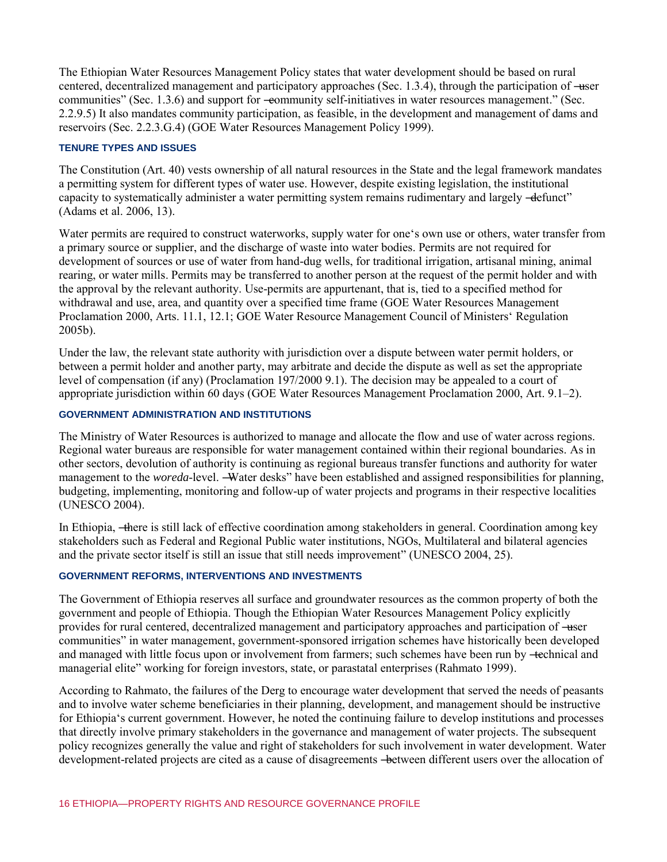The Ethiopian Water Resources Management Policy states that water development should be based on rural centered, decentralized management and participatory approaches (Sec. 1.3.4), through the participation of —user communities" (Sec. 1.3.6) and support for —eommunity self-initiatives in water resources management." (Sec. 2.2.9.5) It also mandates community participation, as feasible, in the development and management of dams and reservoirs (Sec. 2.2.3.G.4) (GOE Water Resources Management Policy 1999).

#### **TENURE TYPES AND ISSUES**

The Constitution (Art. 40) vests ownership of all natural resources in the State and the legal framework mandates a permitting system for different types of water use. However, despite existing legislation, the institutional capacity to systematically administer a water permitting system remains rudimentary and largely -defunct" (Adams et al. 2006, 13).

Water permits are required to construct waterworks, supply water for one's own use or others, water transfer from a primary source or supplier, and the discharge of waste into water bodies. Permits are not required for development of sources or use of water from hand-dug wells, for traditional irrigation, artisanal mining, animal rearing, or water mills. Permits may be transferred to another person at the request of the permit holder and with the approval by the relevant authority. Use-permits are appurtenant, that is, tied to a specified method for withdrawal and use, area, and quantity over a specified time frame (GOE Water Resources Management Proclamation 2000, Arts. 11.1, 12.1; GOE Water Resource Management Council of Ministers' Regulation 2005b).

Under the law, the relevant state authority with jurisdiction over a dispute between water permit holders, or between a permit holder and another party, may arbitrate and decide the dispute as well as set the appropriate level of compensation (if any) (Proclamation 197/2000 9.1). The decision may be appealed to a court of appropriate jurisdiction within 60 days (GOE Water Resources Management Proclamation 2000, Art. 9.1–2).

# **GOVERNMENT ADMINISTRATION AND INSTITUTIONS**

The Ministry of Water Resources is authorized to manage and allocate the flow and use of water across regions. Regional water bureaus are responsible for water management contained within their regional boundaries. As in other sectors, devolution of authority is continuing as regional bureaus transfer functions and authority for water management to the *woreda*-level. —Water desks" have been established and assigned responsibilities for planning, budgeting, implementing, monitoring and follow-up of water projects and programs in their respective localities (UNESCO 2004).

In Ethiopia, —there is still lack of effective coordination among stakeholders in general. Coordination among key stakeholders such as Federal and Regional Public water institutions, NGOs, Multilateral and bilateral agencies and the private sector itself is still an issue that still needs improvement" (UNESCO 2004, 25).

# **GOVERNMENT REFORMS, INTERVENTIONS AND INVESTMENTS**

The Government of Ethiopia reserves all surface and groundwater resources as the common property of both the government and people of Ethiopia. Though the Ethiopian Water Resources Management Policy explicitly provides for rural centered, decentralized management and participatory approaches and participation of ―user communities" in water management, government-sponsored irrigation schemes have historically been developed and managed with little focus upon or involvement from farmers; such schemes have been run by -technical and managerial elite" working for foreign investors, state, or parastatal enterprises (Rahmato 1999).

According to Rahmato, the failures of the Derg to encourage water development that served the needs of peasants and to involve water scheme beneficiaries in their planning, development, and management should be instructive for Ethiopia's current government. However, he noted the continuing failure to develop institutions and processes that directly involve primary stakeholders in the governance and management of water projects. The subsequent policy recognizes generally the value and right of stakeholders for such involvement in water development. Water development-related projects are cited as a cause of disagreements —between different users over the allocation of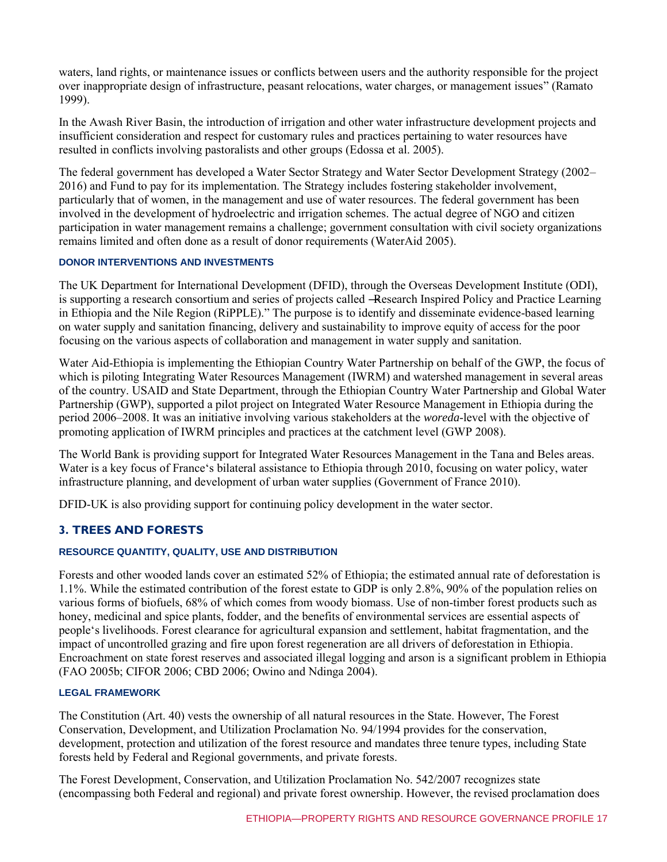waters, land rights, or maintenance issues or conflicts between users and the authority responsible for the project over inappropriate design of infrastructure, peasant relocations, water charges, or management issues" (Ramato 1999).

In the Awash River Basin, the introduction of irrigation and other water infrastructure development projects and insufficient consideration and respect for customary rules and practices pertaining to water resources have resulted in conflicts involving pastoralists and other groups (Edossa et al. 2005).

The federal government has developed a Water Sector Strategy and Water Sector Development Strategy (2002– 2016) and Fund to pay for its implementation. The Strategy includes fostering stakeholder involvement, particularly that of women, in the management and use of water resources. The federal government has been involved in the development of hydroelectric and irrigation schemes. The actual degree of NGO and citizen participation in water management remains a challenge; government consultation with civil society organizations remains limited and often done as a result of donor requirements (WaterAid 2005).

#### **DONOR INTERVENTIONS AND INVESTMENTS**

The UK Department for International Development (DFID), through the Overseas Development Institute (ODI), is supporting a research consortium and series of projects called ―Research Inspired Policy and Practice Learning in Ethiopia and the Nile Region (RiPPLE)." The purpose is to identify and disseminate evidence-based learning on water supply and sanitation financing, delivery and sustainability to improve equity of access for the poor focusing on the various aspects of collaboration and management in water supply and sanitation.

Water Aid-Ethiopia is implementing the Ethiopian Country Water Partnership on behalf of the GWP, the focus of which is piloting Integrating Water Resources Management (IWRM) and watershed management in several areas of the country. USAID and State Department, through the Ethiopian Country Water Partnership and Global Water Partnership (GWP), supported a pilot project on Integrated Water Resource Management in Ethiopia during the period 2006–2008. It was an initiative involving various stakeholders at the *woreda*-level with the objective of promoting application of IWRM principles and practices at the catchment level (GWP 2008).

The World Bank is providing support for Integrated Water Resources Management in the Tana and Beles areas. Water is a key focus of France's bilateral assistance to Ethiopia through 2010, focusing on water policy, water infrastructure planning, and development of urban water supplies (Government of France 2010).

DFID-UK is also providing support for continuing policy development in the water sector.

# **3. TREES AND FORESTS**

#### **RESOURCE QUANTITY, QUALITY, USE AND DISTRIBUTION**

Forests and other wooded lands cover an estimated 52% of Ethiopia; the estimated annual rate of deforestation is 1.1%. While the estimated contribution of the forest estate to GDP is only 2.8%, 90% of the population relies on various forms of biofuels, 68% of which comes from woody biomass. Use of non-timber forest products such as honey, medicinal and spice plants, fodder, and the benefits of environmental services are essential aspects of people's livelihoods. Forest clearance for agricultural expansion and settlement, habitat fragmentation, and the impact of uncontrolled grazing and fire upon forest regeneration are all drivers of deforestation in Ethiopia. Encroachment on state forest reserves and associated illegal logging and arson is a significant problem in Ethiopia (FAO 2005b; CIFOR 2006; CBD 2006; Owino and Ndinga 2004).

#### **LEGAL FRAMEWORK**

The Constitution (Art. 40) vests the ownership of all natural resources in the State. However, The Forest Conservation, Development, and Utilization Proclamation No. 94/1994 provides for the conservation, development, protection and utilization of the forest resource and mandates three tenure types, including State forests held by Federal and Regional governments, and private forests.

The Forest Development, Conservation, and Utilization Proclamation No. 542/2007 recognizes state (encompassing both Federal and regional) and private forest ownership. However, the revised proclamation does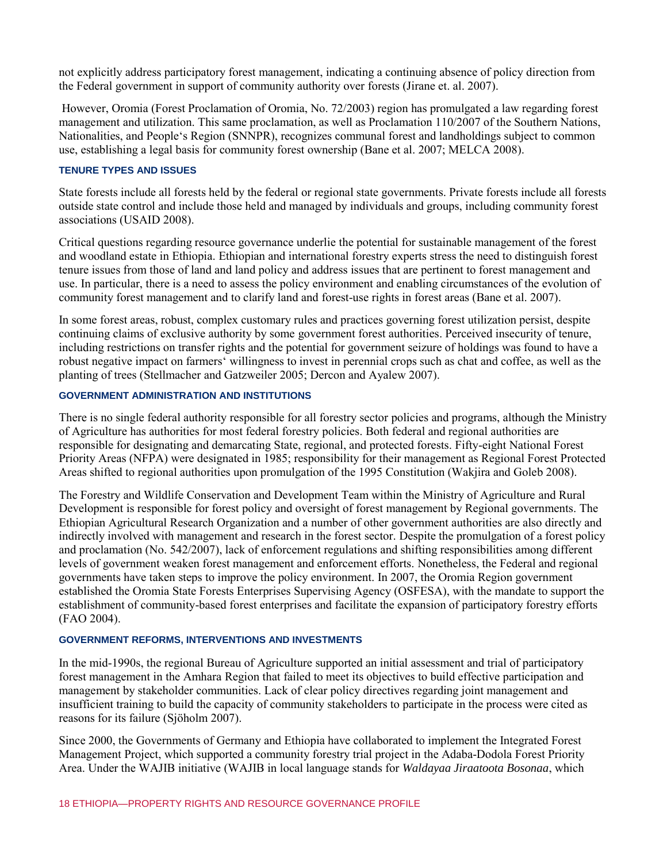not explicitly address participatory forest management, indicating a continuing absence of policy direction from the Federal government in support of community authority over forests (Jirane et. al. 2007).

However, Oromia (Forest Proclamation of Oromia, No. 72/2003) region has promulgated a law regarding forest management and utilization. This same proclamation, as well as Proclamation 110/2007 of the Southern Nations, Nationalities, and People's Region (SNNPR), recognizes communal forest and landholdings subject to common use, establishing a legal basis for community forest ownership (Bane et al. 2007; MELCA 2008).

#### **TENURE TYPES AND ISSUES**

State forests include all forests held by the federal or regional state governments. Private forests include all forests outside state control and include those held and managed by individuals and groups, including community forest associations (USAID 2008).

Critical questions regarding resource governance underlie the potential for sustainable management of the forest and woodland estate in Ethiopia. Ethiopian and international forestry experts stress the need to distinguish forest tenure issues from those of land and land policy and address issues that are pertinent to forest management and use. In particular, there is a need to assess the policy environment and enabling circumstances of the evolution of community forest management and to clarify land and forest-use rights in forest areas (Bane et al. 2007).

In some forest areas, robust, complex customary rules and practices governing forest utilization persist, despite continuing claims of exclusive authority by some government forest authorities. Perceived insecurity of tenure, including restrictions on transfer rights and the potential for government seizure of holdings was found to have a robust negative impact on farmers' willingness to invest in perennial crops such as chat and coffee, as well as the planting of trees (Stellmacher and Gatzweiler 2005; Dercon and Ayalew 2007).

# **GOVERNMENT ADMINISTRATION AND INSTITUTIONS**

There is no single federal authority responsible for all forestry sector policies and programs, although the Ministry of Agriculture has authorities for most federal forestry policies. Both federal and regional authorities are responsible for designating and demarcating State, regional, and protected forests. Fifty-eight National Forest Priority Areas (NFPA) were designated in 1985; responsibility for their management as Regional Forest Protected Areas shifted to regional authorities upon promulgation of the 1995 Constitution (Wakjira and Goleb 2008).

The Forestry and Wildlife Conservation and Development Team within the Ministry of Agriculture and Rural Development is responsible for forest policy and oversight of forest management by Regional governments. The Ethiopian Agricultural Research Organization and a number of other government authorities are also directly and indirectly involved with management and research in the forest sector. Despite the promulgation of a forest policy and proclamation (No. 542/2007), lack of enforcement regulations and shifting responsibilities among different levels of government weaken forest management and enforcement efforts. Nonetheless, the Federal and regional governments have taken steps to improve the policy environment. In 2007, the Oromia Region government established the Oromia State Forests Enterprises Supervising Agency (OSFESA), with the mandate to support the establishment of community-based forest enterprises and facilitate the expansion of participatory forestry efforts (FAO 2004).

#### **GOVERNMENT REFORMS, INTERVENTIONS AND INVESTMENTS**

In the mid-1990s, the regional Bureau of Agriculture supported an initial assessment and trial of participatory forest management in the Amhara Region that failed to meet its objectives to build effective participation and management by stakeholder communities. Lack of clear policy directives regarding joint management and insufficient training to build the capacity of community stakeholders to participate in the process were cited as reasons for its failure (Sjöholm 2007).

Since 2000, the Governments of Germany and Ethiopia have collaborated to implement the Integrated Forest Management Project, which supported a community forestry trial project in the Adaba-Dodola Forest Priority Area. Under the WAJIB initiative (WAJIB in local language stands for *Waldayaa Jiraatoota Bosonaa*, which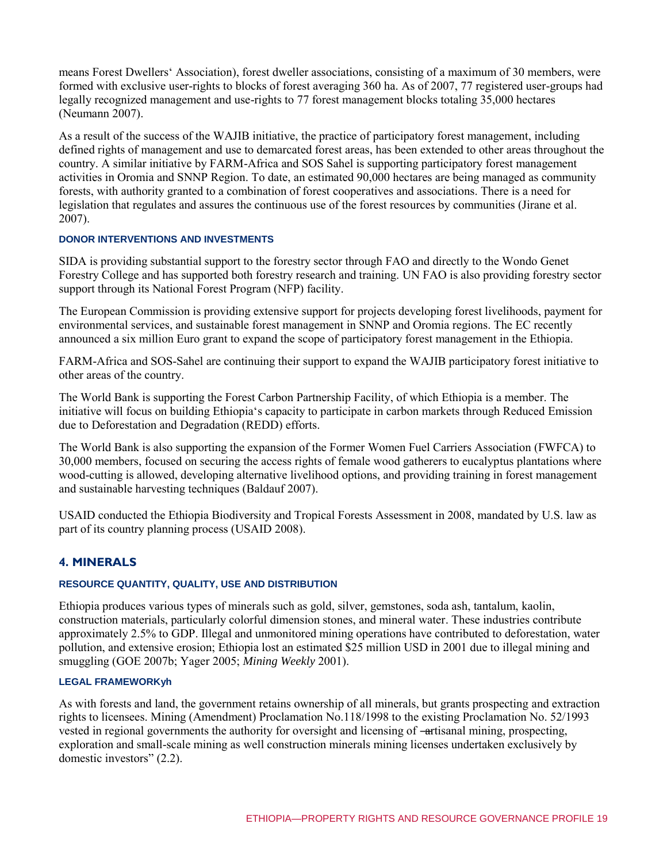means Forest Dwellers' Association), forest dweller associations, consisting of a maximum of 30 members, were formed with exclusive user-rights to blocks of forest averaging 360 ha. As of 2007, 77 registered user-groups had legally recognized management and use-rights to 77 forest management blocks totaling 35,000 hectares (Neumann 2007).

As a result of the success of the WAJIB initiative, the practice of participatory forest management, including defined rights of management and use to demarcated forest areas, has been extended to other areas throughout the country. A similar initiative by FARM-Africa and SOS Sahel is supporting participatory forest management activities in Oromia and SNNP Region. To date, an estimated 90,000 hectares are being managed as community forests, with authority granted to a combination of forest cooperatives and associations. There is a need for legislation that regulates and assures the continuous use of the forest resources by communities (Jirane et al. 2007).

#### **DONOR INTERVENTIONS AND INVESTMENTS**

SIDA is providing substantial support to the forestry sector through FAO and directly to the Wondo Genet Forestry College and has supported both forestry research and training. UN FAO is also providing forestry sector support through its National Forest Program (NFP) facility.

The European Commission is providing extensive support for projects developing forest livelihoods, payment for environmental services, and sustainable forest management in SNNP and Oromia regions. The EC recently announced a six million Euro grant to expand the scope of participatory forest management in the Ethiopia.

FARM-Africa and SOS-Sahel are continuing their support to expand the WAJIB participatory forest initiative to other areas of the country.

The World Bank is supporting the Forest Carbon Partnership Facility, of which Ethiopia is a member. The initiative will focus on building Ethiopia's capacity to participate in carbon markets through Reduced Emission due to Deforestation and Degradation (REDD) efforts.

The World Bank is also supporting the expansion of the Former Women Fuel Carriers Association (FWFCA) to 30,000 members, focused on securing the access rights of female wood gatherers to eucalyptus plantations where wood-cutting is allowed, developing alternative livelihood options, and providing training in forest management and sustainable harvesting techniques (Baldauf 2007).

USAID conducted the Ethiopia Biodiversity and Tropical Forests Assessment in 2008, mandated by U.S. law as part of its country planning process (USAID 2008).

#### **4. MINERALS**

#### **RESOURCE QUANTITY, QUALITY, USE AND DISTRIBUTION**

Ethiopia produces various types of minerals such as gold, silver, gemstones, soda ash, tantalum, kaolin, construction materials, particularly colorful dimension stones, and mineral water. These industries contribute approximately 2.5% to GDP. Illegal and unmonitored mining operations have contributed to deforestation, water pollution, and extensive erosion; Ethiopia lost an estimated \$25 million USD in 2001 due to illegal mining and smuggling (GOE 2007b; Yager 2005; *Mining Weekly* 2001).

# **LEGAL FRAMEWORKyh**

As with forests and land, the government retains ownership of all minerals, but grants prospecting and extraction rights to licensees. Mining (Amendment) Proclamation No.118/1998 to the existing Proclamation No. 52/1993 vested in regional governments the authority for oversight and licensing of —artisanal mining, prospecting, exploration and small-scale mining as well construction minerals mining licenses undertaken exclusively by domestic investors"  $(2.2)$ .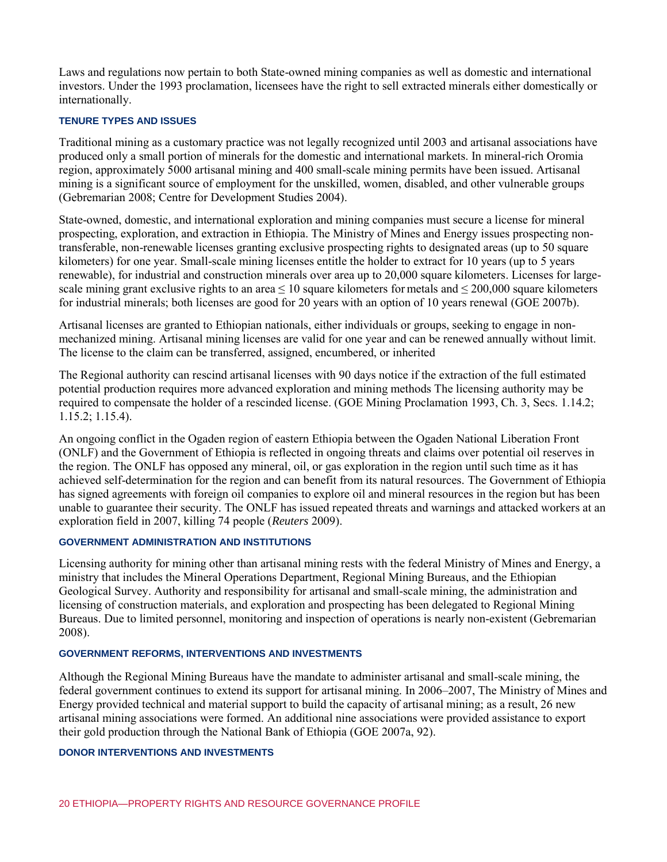Laws and regulations now pertain to both State-owned mining companies as well as domestic and international investors. Under the 1993 proclamation, licensees have the right to sell extracted minerals either domestically or internationally.

#### **TENURE TYPES AND ISSUES**

Traditional mining as a customary practice was not legally recognized until 2003 and artisanal associations have produced only a small portion of minerals for the domestic and international markets. In mineral-rich Oromia region, approximately 5000 artisanal mining and 400 small-scale mining permits have been issued. Artisanal mining is a significant source of employment for the unskilled, women, disabled, and other vulnerable groups (Gebremarian 2008; Centre for Development Studies 2004).

State-owned, domestic, and international exploration and mining companies must secure a license for mineral prospecting, exploration, and extraction in Ethiopia. The Ministry of Mines and Energy issues prospecting nontransferable, non-renewable licenses granting exclusive prospecting rights to designated areas (up to 50 square kilometers) for one year. Small-scale mining licenses entitle the holder to extract for 10 years (up to 5 years renewable), for industrial and construction minerals over area up to 20,000 square kilometers. Licenses for largescale mining grant exclusive rights to an area  $\leq 10$  square kilometers for metals and  $\leq 200,000$  square kilometers for industrial minerals; both licenses are good for 20 years with an option of 10 years renewal (GOE 2007b).

Artisanal licenses are granted to Ethiopian nationals, either individuals or groups, seeking to engage in nonmechanized mining. Artisanal mining licenses are valid for one year and can be renewed annually without limit. The license to the claim can be transferred, assigned, encumbered, or inherited

The Regional authority can rescind artisanal licenses with 90 days notice if the extraction of the full estimated potential production requires more advanced exploration and mining methods The licensing authority may be required to compensate the holder of a rescinded license. (GOE Mining Proclamation 1993, Ch. 3, Secs. 1.14.2; 1.15.2; 1.15.4).

An ongoing conflict in the Ogaden region of eastern Ethiopia between the Ogaden National Liberation Front (ONLF) and the Government of Ethiopia is reflected in ongoing threats and claims over potential oil reserves in the region. The ONLF has opposed any mineral, oil, or gas exploration in the region until such time as it has achieved self-determination for the region and can benefit from its natural resources. The Government of Ethiopia has signed agreements with foreign oil companies to explore oil and mineral resources in the region but has been unable to guarantee their security. The ONLF has issued repeated threats and warnings and attacked workers at an exploration field in 2007, killing 74 people (*Reuters* 2009).

# **GOVERNMENT ADMINISTRATION AND INSTITUTIONS**

Licensing authority for mining other than artisanal mining rests with the federal Ministry of Mines and Energy, a ministry that includes the Mineral Operations Department, Regional Mining Bureaus, and the Ethiopian Geological Survey. Authority and responsibility for artisanal and small-scale mining, the administration and licensing of construction materials, and exploration and prospecting has been delegated to Regional Mining Bureaus. Due to limited personnel, monitoring and inspection of operations is nearly non-existent (Gebremarian 2008).

#### **GOVERNMENT REFORMS, INTERVENTIONS AND INVESTMENTS**

Although the Regional Mining Bureaus have the mandate to administer artisanal and small-scale mining, the federal government continues to extend its support for artisanal mining. In 2006–2007, The Ministry of Mines and Energy provided technical and material support to build the capacity of artisanal mining; as a result, 26 new artisanal mining associations were formed. An additional nine associations were provided assistance to export their gold production through the National Bank of Ethiopia (GOE 2007a, 92).

#### **DONOR INTERVENTIONS AND INVESTMENTS**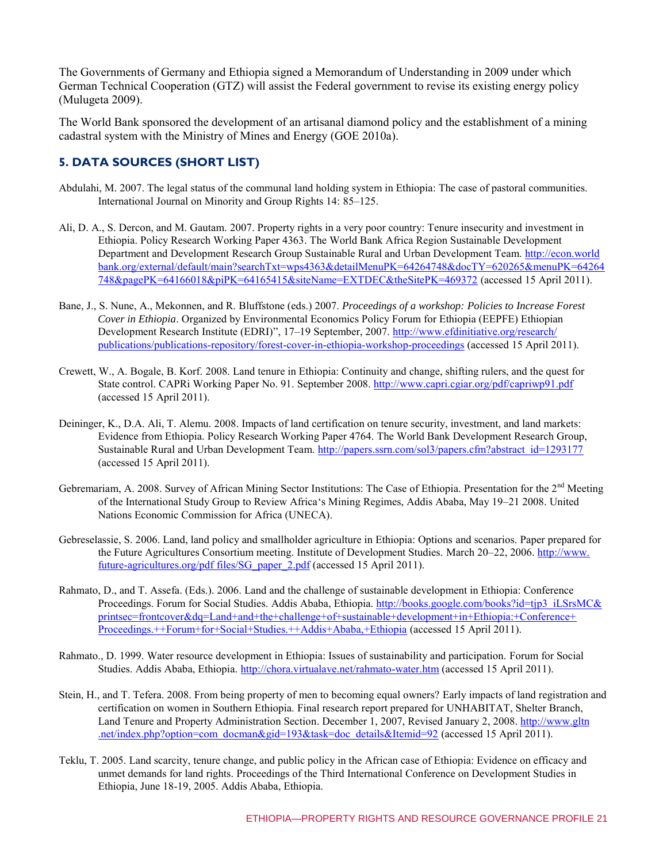The Governments of Germany and Ethiopia signed a Memorandum of Understanding in 2009 under which German Technical Cooperation (GTZ) will assist the Federal government to revise its existing energy policy (Mulugeta 2009).

The World Bank sponsored the development of an artisanal diamond policy and the establishment of a mining cadastral system with the Ministry of Mines and Energy (GOE 2010a).

# **5. DATA SOURCES (SHORT LIST)**

- Abdulahi, M. 2007. The legal status of the communal land holding system in Ethiopia: The case of pastoral communities. International Journal on Minority and Group Rights 14: 85–125.
- Ali, D. A., S. Dercon, and M. Gautam. 2007. Property rights in a very poor country: Tenure insecurity and investment in Ethiopia. Policy Research Working Paper 4363. The World Bank Africa Region Sustainable Development Department and Development Research Group Sustainable Rural and Urban Development Team. [http://econ.world](http://econ.worldbank.org/external/default/main?searchTxt=wps4363&detailMenuPK=64264748&docTY=620265&menuPK=64264748&pagePK=64166018&piPK=64165415&siteName=EXTDEC&theSitePK=469372) [bank.org/external/default/main?searchTxt=wps4363&detailMenuPK=64264748&docTY=620265&menuPK=64264](http://econ.worldbank.org/external/default/main?searchTxt=wps4363&detailMenuPK=64264748&docTY=620265&menuPK=64264748&pagePK=64166018&piPK=64165415&siteName=EXTDEC&theSitePK=469372) [748&pagePK=64166018&piPK=64165415&siteName=EXTDEC&theSitePK=469372](http://econ.worldbank.org/external/default/main?searchTxt=wps4363&detailMenuPK=64264748&docTY=620265&menuPK=64264748&pagePK=64166018&piPK=64165415&siteName=EXTDEC&theSitePK=469372) (accessed 15 April 2011).
- Bane, J., S. Nune, A., Mekonnen, and R. Bluffstone (eds.) 2007. *Proceedings of a workshop: Policies to Increase Forest Cover in Ethiopia*. Organized by Environmental Economics Policy Forum for Ethiopia (EEPFE) Ethiopian Development Research Institute (EDRI)", 17–19 September, 2007. [http://www.efdinitiative.org/research/](http://www.efdinitiative.org/research/publications/publications-repository/forest-cover-in-ethiopia-workshop-proceedings) [publications/publications-repository/forest-cover-in-ethiopia-workshop-proceedings](http://www.efdinitiative.org/research/publications/publications-repository/forest-cover-in-ethiopia-workshop-proceedings) (accessed 15 April 2011).
- Crewett, W., A. Bogale, B. Korf. 2008. Land tenure in Ethiopia: Continuity and change, shifting rulers, and the quest for State control. CAPRi Working Paper No. 91. September 2008. <http://www.capri.cgiar.org/pdf/capriwp91.pdf> (accessed 15 April 2011).
- Deininger, K., D.A. Ali, T. Alemu. 2008. Impacts of land certification on tenure security, investment, and land markets: Evidence from Ethiopia. Policy Research Working Paper 4764. The World Bank Development Research Group, Sustainable Rural and Urban Development Team. [http://papers.ssrn.com/sol3/papers.cfm?abstract\\_id=1293177](http://papers.ssrn.com/sol3/papers.cfm?abstract_id=1293177) (accessed 15 April 2011).
- Gebremariam, A. 2008. Survey of African Mining Sector Institutions: The Case of Ethiopia. Presentation for the 2<sup>nd</sup> Meeting of the International Study Group to Review Africa's Mining Regimes, Addis Ababa, May 19–21 2008. United Nations Economic Commission for Africa (UNECA).
- Gebreselassie, S. 2006. Land, land policy and smallholder agriculture in Ethiopia: Options and scenarios. Paper prepared for the Future Agricultures Consortium meeting. Institute of Development Studies. March 20–22, 2006[. http://www.](http://www.future-agricultures.org/pdf%20files/SG_paper_2.pdf) [future-agricultures.org/pdf files/SG\\_paper\\_2.pdf](http://www.future-agricultures.org/pdf%20files/SG_paper_2.pdf) (accessed 15 April 2011).
- Rahmato, D., and T. Assefa. (Eds.). 2006. Land and the challenge of sustainable development in Ethiopia: Conference Proceedings. Forum for Social Studies. Addis Ababa, Ethiopia. [http://books.google.com/books?id=tjp3\\_iLSrsMC&](http://books.google.com/books?id=tjp3_iLSrsMC&printsec=frontcover&dq=Land+and+the+challenge+of+sustainable+development+in+Ethiopia:+Conference+Proceedings.++Forum+for+Social+Studies.++Addis+Ababa,+Ethiopia.)#v=onepage&q=Land%20and%20the%20challenge%20of%20) [printsec=frontcover&dq=Land+and+the+challenge+of+sustainable+development+in+Ethiopia:+Conference+](http://books.google.com/books?id=tjp3_iLSrsMC&printsec=frontcover&dq=Land+and+the+challenge+of+sustainable+development+in+Ethiopia:+Conference+Proceedings.++Forum+for+Social+Studies.++Addis+Ababa,+Ethiopia.)#v=onepage&q=Land%20and%20the%20challenge%20of%20) [Proceedings.++Forum+for+Social+Studies.++Addis+Ababa,+Ethiopia](http://books.google.com/books?id=tjp3_iLSrsMC&printsec=frontcover&dq=Land+and+the+challenge+of+sustainable+development+in+Ethiopia:+Conference+Proceedings.++Forum+for+Social+Studies.++Addis+Ababa,+Ethiopia.)#v=onepage&q=Land%20and%20the%20challenge%20of%20) (accessed 15 April 2011).
- Rahmato., D. 1999. Water resource development in Ethiopia: Issues of sustainability and participation. Forum for Social Studies. Addis Ababa, Ethiopia. [http://chora.virtualave.net/rahmato-water.htm \(](http://chora.virtualave.net/rahmato-water.htm)accessed 15 April 2011).
- Stein, H., and T. Tefera. 2008. From being property of men to becoming equal owners? Early impacts of land registration and certification on women in Southern Ethiopia. Final research report prepared for UNHABITAT, Shelter Branch, Land Tenure and Property Administration Section. December 1, 2007, Revised January 2, 2008[. http://www.gltn](http://www.gltn.net/index.php?option=com_docman&gid=193&task=doc_details&Itemid=92) [.net/index.php?option=com\\_docman&gid=193&task=doc\\_details&Itemid=92](http://www.gltn.net/index.php?option=com_docman&gid=193&task=doc_details&Itemid=92) (accessed 15 April 2011).
- Teklu, T. 2005. Land scarcity, tenure change, and public policy in the African case of Ethiopia: Evidence on efficacy and unmet demands for land rights. Proceedings of the Third International Conference on Development Studies in Ethiopia, June 18-19, 2005. Addis Ababa, Ethiopia.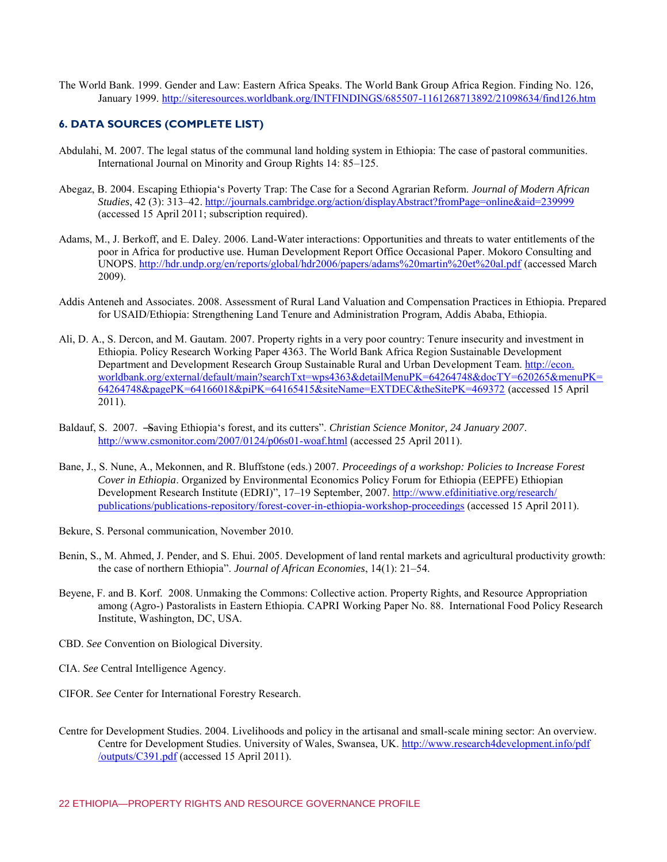The World Bank. 1999. Gender and Law: Eastern Africa Speaks. The World Bank Group Africa Region. Finding No. 126, January 1999[. http://siteresources.worldbank.org/INTFINDINGS/685507-1161268713892/21098634/find126.htm](http://siteresources.worldbank.org/INTFINDINGS/685507-1161268713892/21098634/find126.htm) 

#### **6. DATA SOURCES (COMPLETE LIST)**

- Abdulahi, M. 2007. The legal status of the communal land holding system in Ethiopia: The case of pastoral communities. International Journal on Minority and Group Rights 14: 85–125.
- Abegaz, B. 2004. Escaping Ethiopia's Poverty Trap: The Case for a Second Agrarian Reform. *Journal of Modern African Studies*, 42 (3): 313–42. <http://journals.cambridge.org/action/displayAbstract?fromPage=online&aid=239999> (accessed 15 April 2011; subscription required).
- Adams, M., J. Berkoff, and E. Daley. 2006. Land-Water interactions: Opportunities and threats to water entitlements of the poor in Africa for productive use. Human Development Report Office Occasional Paper. Mokoro Consulting and UNOPS.<http://hdr.undp.org/en/reports/global/hdr2006/papers/adams%20martin%20et%20al.pdf>(accessed March 2009).
- Addis Anteneh and Associates. 2008. Assessment of Rural Land Valuation and Compensation Practices in Ethiopia. Prepared for USAID/Ethiopia: Strengthening Land Tenure and Administration Program, Addis Ababa, Ethiopia.
- Ali, D. A., S. Dercon, and M. Gautam. 2007. Property rights in a very poor country: Tenure insecurity and investment in Ethiopia. Policy Research Working Paper 4363. The World Bank Africa Region Sustainable Development Department and Development Research Group Sustainable Rural and Urban Development Team. [http://econ.](http://econ.worldbank.org/external/default/main?searchTxt=wps4363&detailMenuPK=64264748&docTY=620265&menuPK=64264748&pagePK=64166018&piPK=64165415&siteName=EXTDEC&theSitePK=469372) [worldbank.org/external/default/main?searchTxt=wps4363&detailMenuPK=64264748&docTY=620265&menuPK=](http://econ.worldbank.org/external/default/main?searchTxt=wps4363&detailMenuPK=64264748&docTY=620265&menuPK=64264748&pagePK=64166018&piPK=64165415&siteName=EXTDEC&theSitePK=469372) [64264748&pagePK=64166018&piPK=64165415&siteName=EXTDEC&theSitePK=469372](http://econ.worldbank.org/external/default/main?searchTxt=wps4363&detailMenuPK=64264748&docTY=620265&menuPK=64264748&pagePK=64166018&piPK=64165415&siteName=EXTDEC&theSitePK=469372) (accessed 15 April 2011).
- Baldauf, S. 2007. <del>S</del>aving Ethiopia's forest, and its cutters". *Christian Science Monitor, 24 January 2007*. <http://www.csmonitor.com/2007/0124/p06s01-woaf.html>(accessed 25 April 2011).
- Bane, J., S. Nune, A., Mekonnen, and R. Bluffstone (eds.) 2007. *Proceedings of a workshop: Policies to Increase Forest Cover in Ethiopia*. Organized by Environmental Economics Policy Forum for Ethiopia (EEPFE) Ethiopian Development Research Institute (EDRI)", 17–19 September, 2007. [http://www.efdinitiative.org/research/](http://www.efdinitiative.org/research/publications/publications-repository/forest-cover-in-ethiopia-workshop-proceedings) [publications/publications-repository/forest-cover-in-ethiopia-workshop-proceedings](http://www.efdinitiative.org/research/publications/publications-repository/forest-cover-in-ethiopia-workshop-proceedings) (accessed 15 April 2011).
- Bekure, S. Personal communication, November 2010.
- Benin, S., M. Ahmed, J. Pender, and S. Ehui. 2005. Development of land rental markets and agricultural productivity growth: the case of northern Ethiopia". *Journal of African Economies*, 14(1): 21–54.
- Beyene, F. and B. Korf. 2008. Unmaking the Commons: Collective action. Property Rights, and Resource Appropriation among (Agro-) Pastoralists in Eastern Ethiopia. CAPRI Working Paper No. 88. International Food Policy Research Institute, Washington, DC, USA.
- CBD. *See* Convention on Biological Diversity.
- CIA. *See* Central Intelligence Agency.
- CIFOR. *See* Center for International Forestry Research.
- Centre for Development Studies. 2004. Livelihoods and policy in the artisanal and small-scale mining sector: An overview. Centre for Development Studies. University of Wales, Swansea, UK. [http://www.research4development.info/pdf](http://www.dfid.gov.uk/R4D/pdf/outputs/C391.pdf) [/outputs/C391.pdf](http://www.dfid.gov.uk/R4D/pdf/outputs/C391.pdf) (accessed 15 April 2011).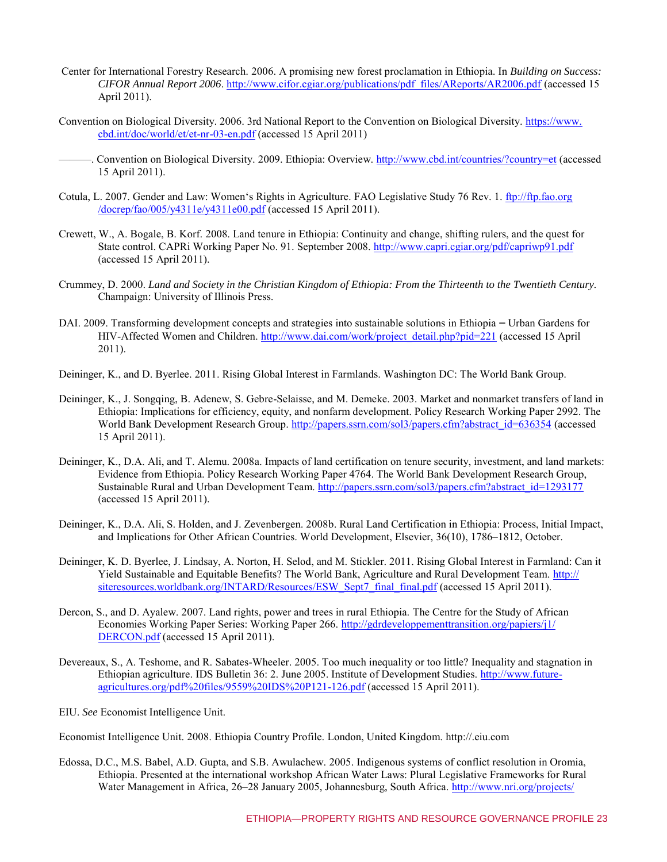- Center for International Forestry Research. 2006. A promising new forest proclamation in Ethiopia. In *Building on Success: CIFOR Annual Report 2006*. [http://www.cifor.cgiar.org/publications/pdf\\_files/AReports/AR2006.pdf](http://www.cifor.cgiar.org/publications/pdf_files/AReports/AR2006.pdf) (accessed 15 April 2011).
- Convention on Biological Diversity. 2006. 3rd National Report to the Convention on Biological Diversity. [https://www.](https://www.cbd.int/doc/world/et/et-nr-03-en.pdf) [cbd.int/doc/world/et/et-nr-03-en.pdf \(](https://www.cbd.int/doc/world/et/et-nr-03-en.pdf)accessed 15 April 2011)
	- ———. Convention on Biological Diversity. 2009. Ethiopia: Overview.<http://www.cbd.int/countries/?country=et>(accessed 15 April 2011).
- Cotula, L. 2007. Gender and Law: Women's Rights in Agriculture. FAO Legislative Study 76 Rev. 1. [ftp://ftp.fao.org](ftp://ftp.fao.org/docrep/fao/005/y4311e/y4311e00.pdf) [/docrep/fao/005/y4311e/y4311e00.pdf](ftp://ftp.fao.org/docrep/fao/005/y4311e/y4311e00.pdf) (accessed 15 April 2011).
- Crewett, W., A. Bogale, B. Korf. 2008. Land tenure in Ethiopia: Continuity and change, shifting rulers, and the quest for State control. CAPRi Working Paper No. 91. September 2008.<http://www.capri.cgiar.org/pdf/capriwp91.pdf> (accessed 15 April 2011).
- Crummey, D. 2000. *Land and Society in the Christian Kingdom of Ethiopia: From the Thirteenth to the Twentieth Century.*  Champaign: University of Illinois Press.
- DAI. 2009. Transforming development concepts and strategies into sustainable solutions in Ethiopia Urban Gardens for HIV-Affected Women and Children. [http://www.dai.com/work/project\\_detail.php?pid=221](http://www.dai.com/work/project_detail.php?pid=221) (accessed 15 April 2011).
- Deininger, K., and D. Byerlee. 2011. Rising Global Interest in Farmlands. Washington DC: The World Bank Group.
- Deininger, K., J. Songqing, B. Adenew, S. Gebre-Selaisse, and M. Demeke. 2003. Market and nonmarket transfers of land in Ethiopia: Implications for efficiency, equity, and nonfarm development. Policy Research Working Paper 2992. The World Bank Development Research Group[. http://papers.ssrn.com/sol3/papers.cfm?abstract\\_id=636354](http://papers.ssrn.com/sol3/papers.cfm?abstract_id=636354) (accessed 15 April 2011).
- Deininger, K., D.A. Ali, and T. Alemu. 2008a. Impacts of land certification on tenure security, investment, and land markets: Evidence from Ethiopia. Policy Research Working Paper 4764. The World Bank Development Research Group, Sustainable Rural and Urban Development Team. [http://papers.ssrn.com/sol3/papers.cfm?abstract\\_id=1293177](http://papers.ssrn.com/sol3/papers.cfm?abstract_id=1293177) (accessed 15 April 2011).
- Deininger, K., D.A. Ali, S. Holden, and J. Zevenbergen. 2008b. Rural Land Certification in Ethiopia: Process, Initial Impact, and Implications for Other African Countries. World Development, Elsevier, 36(10), 1786–1812, October.
- Deininger, K. D. Byerlee, J. Lindsay, A. Norton, H. Selod, and M. Stickler. 2011. Rising Global Interest in Farmland: Can it Yield Sustainable and Equitable Benefits? The World Bank, Agriculture and Rural Development Team. [http://](http://siteresources.worldbank.org/INTARD/Resources/ESW_Sept7_final_final.pdf) [siteresources.worldbank.org/INTARD/Resources/ESW\\_Sept7\\_final\\_final.pdf \(](http://siteresources.worldbank.org/INTARD/Resources/ESW_Sept7_final_final.pdf)accessed 15 April 2011).
- Dercon, S., and D. Ayalew. 2007. Land rights, power and trees in rural Ethiopia. The Centre for the Study of African Economies Working Paper Series: Working Paper 266. [http://gdrdeveloppementtransition.org/papiers/j1/](http://gdrdeveloppementtransition.org/papiers/j1/DERCON.pdf) [DERCON.pdf](http://gdrdeveloppementtransition.org/papiers/j1/DERCON.pdf) (accessed 15 April 2011).
- Devereaux, S., A. Teshome, and R. Sabates-Wheeler. 2005. Too much inequality or too little? Inequality and stagnation in Ethiopian agriculture. IDS Bulletin 36: 2. June 2005. Institute of Development Studies. [http://www.future](http://www.future-agricultures.org/pdf%20files/9559%20IDS%20P121-126.pdf)[agricultures.org/pdf%20files/9559%20IDS%20P121-126.pdf](http://www.future-agricultures.org/pdf%20files/9559%20IDS%20P121-126.pdf) (accessed 15 April 2011).
- EIU. *See* Economist Intelligence Unit.

Economist Intelligence Unit. 2008. Ethiopia Country Profile. London, United Kingdom. http://.eiu.com

Edossa, D.C., M.S. Babel, A.D. Gupta, and S.B. Awulachew. 2005. Indigenous systems of conflict resolution in Oromia, Ethiopia. Presented at the international workshop African Water Laws: Plural Legislative Frameworks for Rural Water Management in Africa, 26–28 January 2005, Johannesburg, South Africa. [http://www.nri.org/projects/](http://www.nri.org/projects/waterlaw/AWLworkshop/DESALEGN-CE.pdf)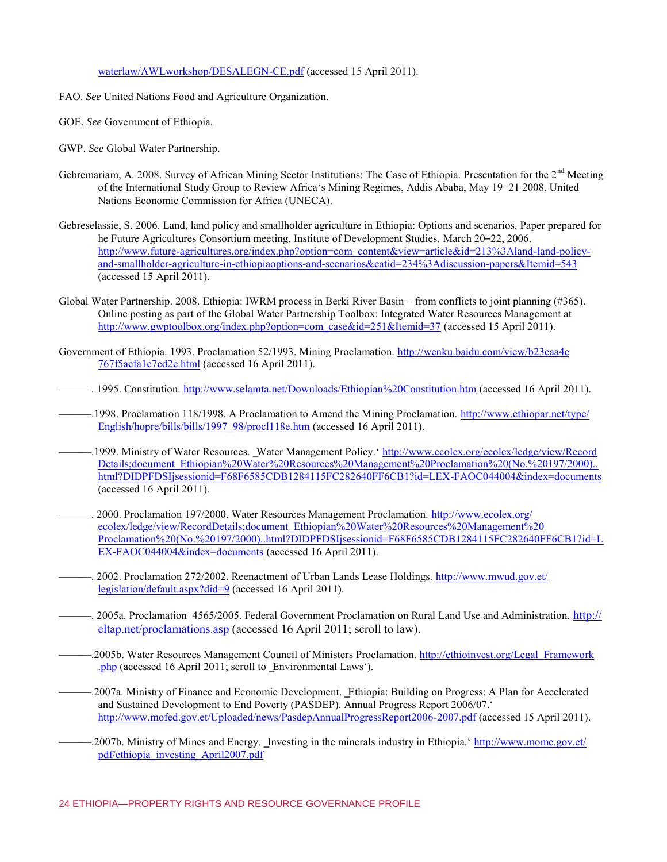waterlaw/AWLworkshop/DESALEGN-CE.pdf (accessed 15 April 2011).

- FAO. *See* United Nations Food and Agriculture Organization.
- GOE. *See* Government of Ethiopia.
- GWP. *See* Global Water Partnership.
- Gebremariam, A. 2008. Survey of African Mining Sector Institutions: The Case of Ethiopia. Presentation for the 2<sup>nd</sup> Meeting of the International Study Group to Review Africa's Mining Regimes, Addis Ababa, May 19–21 2008. United Nations Economic Commission for Africa (UNECA).
- Gebreselassie, S. 2006. Land, land policy and smallholder agriculture in Ethiopia: Options and scenarios. Paper prepared for he Future Agricultures Consortium meeting. Institute of Development Studies. March 20–22, 2006. [http://www.future-agricultures.org/index.php?option=com\\_content&view=article&id=213%3Aland-land-policy](http://www.future-agricultures.org/index.php?option=com_content&view=article&id=213%3Aland-land-policy-and-smallholder-agriculture-in-ethiopiaoptions-and-scenarios&catid=234%3Adiscussion-papers&Itemid=543)[and-smallholder-agriculture-in-ethiopiaoptions-and-scenarios&catid=234%3Adiscussion-papers&Itemid=543](http://www.future-agricultures.org/index.php?option=com_content&view=article&id=213%3Aland-land-policy-and-smallholder-agriculture-in-ethiopiaoptions-and-scenarios&catid=234%3Adiscussion-papers&Itemid=543) (accessed 15 April 2011).
- Global Water Partnership. 2008. Ethiopia: IWRM process in Berki River Basin from conflicts to joint planning (#365). Online posting as part of the Global Water Partnership Toolbox: Integrated Water Resources Management at [http://www.gwptoolbox.org/index.php?option=com\\_case&id=251&Itemid=37](http://www.gwptoolbox.org/index.php?option=com_case&id=251&Itemid=37) (accessed 15 April 2011).
- Government of Ethiopia. 1993. Proclamation 52/1993. Mining Proclamation. [http://wenku.baidu.com/view/b23caa4e](http://wenku.baidu.com/view/b23caa4e767f5acfa1c7cd2e.html) [767f5acfa1c7cd2e.html](http://wenku.baidu.com/view/b23caa4e767f5acfa1c7cd2e.html) (accessed 16 April 2011).
- ———. 1995. Constitution.<http://www.selamta.net/Downloads/Ethiopian%20Constitution.htm>(accessed 16 April 2011).
- ———.1998. Proclamation 118/1998. A Proclamation to Amend the Mining Proclamation. [http://www.ethiopar.net/type/](http://www.ethiopar.net/type/English/hopre/bills/bills/1997_98/procl118e.htm) [English/hopre/bills/bills/1997\\_98/procl118e.htm](http://www.ethiopar.net/type/English/hopre/bills/bills/1997_98/procl118e.htm) (accessed 16 April 2011).
- ———.1999. Ministry of Water Resources. ‗Water Management Policy.' [http://www.ecolex.org/ecolex/ledge/view/Record](http://www.ecolex.org/ecolex/ledge/view/RecordDetails;document_Ethiopian%20Water%20Resources%20Management%20Proclamation%20(No.%20197/2000)..html?DIDPFDSIjsessionid=F68F6585CDB1284115FC282640FF6CB1?id=LEX-FAOC044004&index=documents) [Details;document\\_Ethiopian%20Water%20Resources%20Management%20Proclamation%20\(No.%20197/2000\)..](http://www.ecolex.org/ecolex/ledge/view/RecordDetails;document_Ethiopian%20Water%20Resources%20Management%20Proclamation%20(No.%20197/2000)..html?DIDPFDSIjsessionid=F68F6585CDB1284115FC282640FF6CB1?id=LEX-FAOC044004&index=documents). [html?DIDPFDSIjsessionid=F68F6585CDB1284115FC282640FF6CB1?id=LEX-FAOC044004&index=documents](http://www.ecolex.org/ecolex/ledge/view/RecordDetails;document_Ethiopian%20Water%20Resources%20Management%20Proclamation%20(No.%20197/2000)..html?DIDPFDSIjsessionid=F68F6585CDB1284115FC282640FF6CB1?id=LEX-FAOC044004&index=documents) (accessed 16 April 2011).
- ———. 2000. Proclamation 197/2000. Water Resources Management Proclamation. [http://www.ecolex.org/](http://www.ecolex.org/ecolex/ledge/view/RecordDetails;document_Ethiopian%20Water%20Resources%20Management%20Proclamation%20(No.%20197/2000)..html?DIDPFDSIjsessionid=F68F6585CDB1284115FC282640FF6CB1?id=LEX-FAOC044004&index=documents) [ecolex/ledge/view/RecordDetails;document\\_Ethiopian%20Water%20Resources%20Management%20](http://www.ecolex.org/ecolex/ledge/view/RecordDetails;document_Ethiopian%20Water%20Resources%20Management%20Proclamation%20(No.%20197/2000)..html?DIDPFDSIjsessionid=F68F6585CDB1284115FC282640FF6CB1?id=LEX-FAOC044004&index=documents) [Proclamation%20\(No.%20197/2000\)..html?DIDPFDSIjsessionid=F68F6585CDB1284115FC282640FF6CB1?id=L](http://www.ecolex.org/ecolex/ledge/view/RecordDetails;document_Ethiopian%20Water%20Resources%20Management%20Proclamation%20(No.%20197/2000)..html?DIDPFDSIjsessionid=F68F6585CDB1284115FC282640FF6CB1?id=LEX-FAOC044004&index=documents) [EX-FAOC044004&index=documents \(](http://www.ecolex.org/ecolex/ledge/view/RecordDetails;document_Ethiopian%20Water%20Resources%20Management%20Proclamation%20(No.%20197/2000)..html?DIDPFDSIjsessionid=F68F6585CDB1284115FC282640FF6CB1?id=LEX-FAOC044004&index=documents)accessed 16 April 2011).
- ———. 2002. Proclamation 272/2002. Reenactment of Urban Lands Lease Holdings. [http://www.mwud.gov.et/](http://www.mwud.gov.et/legislation/default.aspx?did=9) [legislation/default.aspx?did=9](http://www.mwud.gov.et/legislation/default.aspx?did=9) (accessed 16 April 2011).
- ———. 2005a. Proclamation 4565/2005. Federal Government Proclamation on Rural Land Use and Administration. [http://](http://eltap.net/proclamations.asp) [eltap.net/proclamations.asp](http://eltap.net/proclamations.asp) (accessed 16 April 2011; scroll to law).
- ——.2005b. Water Resources Management Council of Ministers Proclamation. [http://ethioinvest.org/Legal\\_Framework](http://ethioinvest.org/Legal_Framework.php) [.php](http://ethioinvest.org/Legal_Framework.php) (accessed 16 April 2011; scroll to Environmental Laws').
- ———.2007a. Ministry of Finance and Economic Development. ‗Ethiopia: Building on Progress: A Plan for Accelerated and Sustained Development to End Poverty (PASDEP). Annual Progress Report 2006/07.' <http://www.mofed.gov.et/Uploaded/news/PasdepAnnualProgressReport2006-2007.pdf>(accessed 15 April 2011).
- -2007b. Ministry of Mines and Energy. Investing in the minerals industry in Ethiopia.' [http://www.mome.gov.et/](http://www.mome.gov.et/pdf/ethiopia_investing_April2007.pdf) [pdf/ethiopia\\_investing\\_April2007.pdf](http://www.mome.gov.et/pdf/ethiopia_investing_April2007.pdf)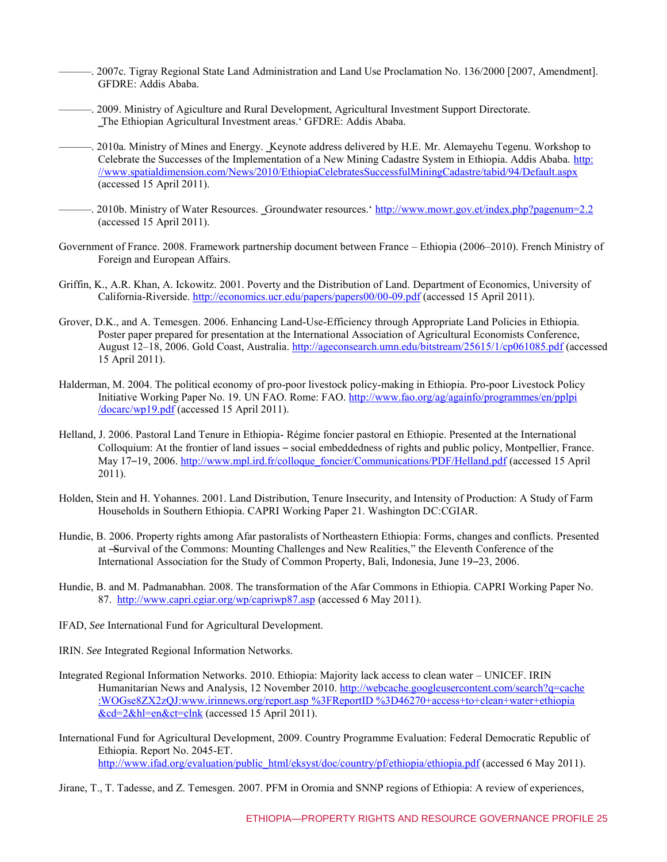- ———. 2007c. Tigray Regional State Land Administration and Land Use Proclamation No. 136/2000 [2007, Amendment]. GFDRE: Addis Ababa.
- ———. 2009. Ministry of Agiculture and Rural Development, Agricultural Investment Support Directorate. ‗The Ethiopian Agricultural Investment areas.' GFDRE: Addis Ababa.
- ———. 2010a. Ministry of Mines and Energy. ‗Keynote address delivered by H.E. Mr. Alemayehu Tegenu. Workshop to Celebrate the Successes of the Implementation of a New Mining Cadastre System in Ethiopia. Addis Ababa. [http:](http://www.spatialdimension.com/News/2010/EthiopiaCelebratesSuccessfulMiningCadastre/tabid/94/Default.aspx) [//www.spatialdimension.com/News/2010/EthiopiaCelebratesSuccessfulMiningCadastre/tabid/94/Default.aspx](http://www.spatialdimension.com/News/2010/EthiopiaCelebratesSuccessfulMiningCadastre/tabid/94/Default.aspx) (accessed 15 April 2011).
- ———. 2010b. Ministry of Water Resources. ‗Groundwater resources.'<http://www.mowr.gov.et/index.php?pagenum=2.2> (accessed 15 April 2011).
- Government of France. 2008. Framework partnership document between France Ethiopia (2006–2010). French Ministry of Foreign and European Affairs.
- Griffin, K., A.R. Khan, A. Ickowitz. 2001. Poverty and the Distribution of Land. Department of Economics, University of California-Riverside.<http://economics.ucr.edu/papers/papers00/00-09.pdf>(accessed 15 April 2011).
- Grover, D.K., and A. Temesgen. 2006. Enhancing Land-Use-Efficiency through Appropriate Land Policies in Ethiopia. Poster paper prepared for presentation at the International Association of Agricultural Economists Conference, August 12–18, 2006. Gold Coast, Australia.<http://ageconsearch.umn.edu/bitstream/25615/1/cp061085.pdf>(accessed 15 April 2011).
- Halderman, M. 2004. The political economy of pro-poor livestock policy-making in Ethiopia. Pro-poor Livestock Policy Initiative Working Paper No. 19. UN FAO. Rome: FAO. [http://www.fao.org/ag/againfo/programmes/en/pplpi](http://www.fao.org/ag/againfo/programmes/en/pplpi/docarc/wp19.pdf) [/docarc/wp19.pdf](http://www.fao.org/ag/againfo/programmes/en/pplpi/docarc/wp19.pdf) (accessed 15 April 2011).
- Helland, J. 2006. Pastoral Land Tenure in Ethiopia- Régime foncier pastoral en Ethiopie. Presented at the International Colloquium: At the frontier of land issues – social embeddedness of rights and public policy, Montpellier, France. May 17–19, 2006. [http://www.mpl.ird.fr/colloque\\_foncier/Communications/PDF/Helland.pdf](http://www.mpl.ird.fr/colloque_foncier/Communications/PDF/Helland.pdf) (accessed 15 April 2011).
- Holden, Stein and H. Yohannes. 2001. Land Distribution, Tenure Insecurity, and Intensity of Production: A Study of Farm Households in Southern Ethiopia. CAPRI Working Paper 21. Washington DC:CGIAR.
- Hundie, B. 2006. Property rights among Afar pastoralists of Northeastern Ethiopia: Forms, changes and conflicts. Presented at -Survival of the Commons: Mounting Challenges and New Realities," the Eleventh Conference of the International Association for the Study of Common Property, Bali, Indonesia, June 19–23, 2006.
- Hundie, B. and M. Padmanabhan. 2008. The transformation of the Afar Commons in Ethiopia. CAPRI Working Paper No. 87.<http://www.capri.cgiar.org/wp/capriwp87.asp>(accessed 6 May 2011).
- IFAD, *See* International Fund for Agricultural Development.

IRIN. *See* Integrated Regional Information Networks.

- Integrated Regional Information Networks. 2010. Ethiopia: Majority lack access to clean water UNICEF. IRIN Humanitarian News and Analysis, 12 November 2010. [http://webcache.googleusercontent.com/search?q=cache](http://webcache.googleusercontent.com/search?q=cache:WOGse8ZX2zQJ:www.irinnews.org/report.asp%3FReportID%3D46270+access+to+clean+water+ethiopia&cd=2&hl=en&ct=clnk) [:WOGse8ZX2zQJ:www.irinnews.org/report.asp %3FReportID %3D46270+access+to+clean+water+ethiopia](http://webcache.googleusercontent.com/search?q=cache:WOGse8ZX2zQJ:www.irinnews.org/report.asp%3FReportID%3D46270+access+to+clean+water+ethiopia&cd=2&hl=en&ct=clnk) [&cd=2&hl=en&ct=clnk \(](http://webcache.googleusercontent.com/search?q=cache:WOGse8ZX2zQJ:www.irinnews.org/report.asp%3FReportID%3D46270+access+to+clean+water+ethiopia&cd=2&hl=en&ct=clnk)accessed 15 April 2011).
- International Fund for Agricultural Development, 2009. Country Programme Evaluation: Federal Democratic Republic of Ethiopia. Report No. 2045-ET. [http://www.ifad.org/evaluation/public\\_html/eksyst/doc/country/pf/ethiopia/ethiopia.pdf](http://www.ifad.org/evaluation/public_html/eksyst/doc/country/pf/ethiopia/ethiopia.pdf) (accessed 6 May 2011).
- Jirane, T., T. Tadesse, and Z. Temesgen. 2007. PFM in Oromia and SNNP regions of Ethiopia: A review of experiences,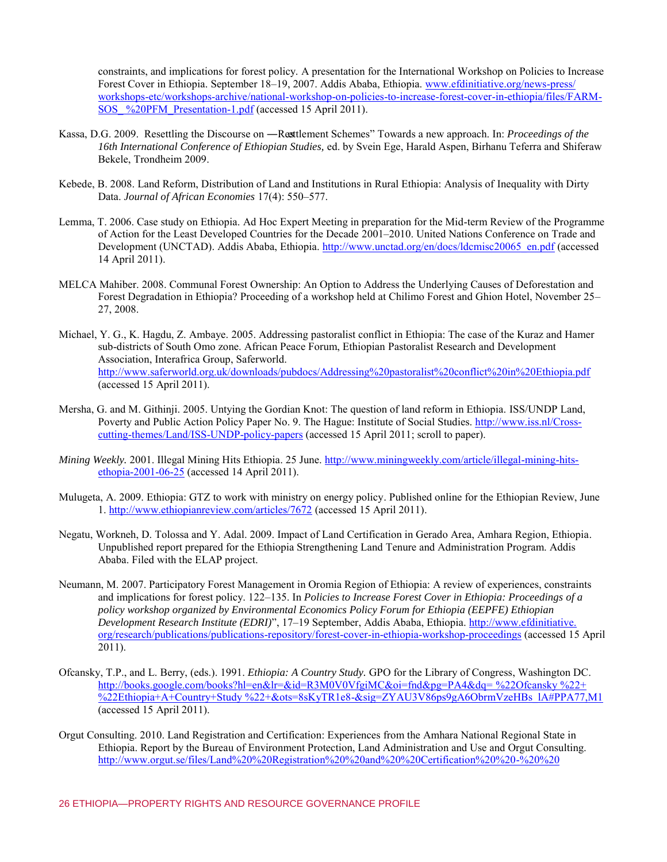constraints, and implications for forest policy. A presentation for the International Workshop on Policies to Increase Forest Cover in Ethiopia. September 18–19, 2007. Addis Ababa, Ethiopia. [www.efdinitiative.org/news-press/](http://www.efdinitiative.org/news-press/workshops-etc/workshops-archive/national-workshop-on-policies-to-increase-forest-cover-in-ethiopia/files/FARM-SOS_%20PFM_Presentation-1.pdf) [workshops-etc/workshops-archive/national-workshop-on-policies-to-increase-forest-cover-in-ethiopia/files/FARM-](http://www.efdinitiative.org/news-press/workshops-etc/workshops-archive/national-workshop-on-policies-to-increase-forest-cover-in-ethiopia/files/FARM-SOS_%20PFM_Presentation-1.pdf)[SOS\\_ %20PFM\\_Presentation-1.pdf](http://www.efdinitiative.org/news-press/workshops-etc/workshops-archive/national-workshop-on-policies-to-increase-forest-cover-in-ethiopia/files/FARM-SOS_%20PFM_Presentation-1.pdf) (accessed 15 April 2011).

- Kassa, D.G. 2009. Resettling the Discourse on —Resttlement Schemes" Towards a new approach. In: *Proceedings of the 16th International Conference of Ethiopian Studies,* ed. by Svein Ege, Harald Aspen, Birhanu Teferra and Shiferaw Bekele, Trondheim 2009.
- Kebede, B. 2008. Land Reform, Distribution of Land and Institutions in Rural Ethiopia: Analysis of Inequality with Dirty Data. *Journal of African Economies* 17(4): 550–577.
- Lemma, T. 2006. Case study on Ethiopia. Ad Hoc Expert Meeting in preparation for the Mid-term Review of the Programme of Action for the Least Developed Countries for the Decade 2001–2010. United Nations Conference on Trade and Development (UNCTAD). Addis Ababa, Ethiopia. [http://www.unctad.org/en/docs/ldcmisc20065\\_en.pdf](http://www.unctad.org/en/docs/ldcmisc20065_en.pdf) (accessed 14 April 2011).
- MELCA Mahiber. 2008. Communal Forest Ownership: An Option to Address the Underlying Causes of Deforestation and Forest Degradation in Ethiopia? Proceeding of a workshop held at Chilimo Forest and Ghion Hotel, November 25– 27, 2008.
- Michael, Y. G., K. Hagdu, Z. Ambaye. 2005. Addressing pastoralist conflict in Ethiopia: The case of the Kuraz and Hamer sub-districts of South Omo zone. African Peace Forum, Ethiopian Pastoralist Research and Development Association, Interafrica Group, Saferworld. <http://www.saferworld.org.uk/downloads/pubdocs/Addressing%20pastoralist%20conflict%20in%20Ethiopia.pdf> (accessed 15 April 2011).
- Mersha, G. and M. Githinji. 2005. Untying the Gordian Knot: The question of land reform in Ethiopia. ISS/UNDP Land, Poverty and Public Action Policy Paper No. 9. The Hague: Institute of Social Studies. [http://www.iss.nl/Cross](http://www.iss.nl/Cross-cutting-themes/Land/ISS-UNDP-policy-papers)[cutting-themes/Land/ISS-UNDP-policy-papers \(](http://www.iss.nl/Cross-cutting-themes/Land/ISS-UNDP-policy-papers)accessed 15 April 2011; scroll to paper).
- *Mining Weekly.* 2001. Illegal Mining Hits Ethiopia. 25 June. [http://www.miningweekly.com/article/illegal-mining-hits](http://www.miningweekly.com/article/illegal-mining-hits-ethopia-2001-06-25)[ethopia-2001-06-25 \(](http://www.miningweekly.com/article/illegal-mining-hits-ethopia-2001-06-25)accessed 14 April 2011).
- Mulugeta, A. 2009[. Ethiopia: GTZ to work with ministry on energy policy.](http://www.ethiopianreview.com/articles/7672) Published online for the Ethiopian Review, June 1. <http://www.ethiopianreview.com/articles/7672>(accessed 15 April 2011).
- Negatu, Workneh, D. Tolossa and Y. Adal. 2009. Impact of Land Certification in Gerado Area, Amhara Region, Ethiopia. Unpublished report prepared for the Ethiopia Strengthening Land Tenure and Administration Program. Addis Ababa. Filed with the ELAP project.
- Neumann, M. 2007. Participatory Forest Management in Oromia Region of Ethiopia: A review of experiences, constraints and implications for forest policy. 122–135. In *Policies to Increase Forest Cover in Ethiopia: Proceedings of a policy workshop organized by Environmental Economics Policy Forum for Ethiopia (EEPFE) Ethiopian Development Research Institute (EDRI)*‖, 17–19 September, Addis Ababa, Ethiopia[. http://www.efdinitiative.](http://www.efdinitiative.org/research/publications/publications-repository/forest-cover-in-ethiopia-workshop-proceedings) [org/research/publications/publications-repository/forest-cover-in-ethiopia-workshop-proceedings](http://www.efdinitiative.org/research/publications/publications-repository/forest-cover-in-ethiopia-workshop-proceedings) (accessed 15 April 2011).
- Ofcansky, T.P., and L. Berry, (eds.). 1991. *Ethiopia: A Country Study.* GPO for the Library of Congress, Washington DC. [http://books.google.com/books?hl=en&lr=&id=R3M0V0VfgiMC&oi=fnd&pg=PA4&dq= %22Ofcansky %22+](http://books.google.com/books?hl=en&lr=&id=R3M0V0VfgiMC&oi=fnd&pg=PA4&dq=%20%22Ofcansky%20%22+%20%22Ethiopia+A+Country+Study%20%22+&ots=8sKyTR1e8-&sig=ZYAU3V86ps9gA6ObrmVzeHBs_lA%23PPA77,M1) [%22Ethiopia+A+Country+Study %22+&ots=8sKyTR1e8-&sig=ZYAU3V86ps9gA6ObrmVzeHBs\\_lA#PPA77,M1](http://books.google.com/books?hl=en&lr=&id=R3M0V0VfgiMC&oi=fnd&pg=PA4&dq=%20%22Ofcansky%20%22+%20%22Ethiopia+A+Country+Study%20%22+&ots=8sKyTR1e8-&sig=ZYAU3V86ps9gA6ObrmVzeHBs_lA%23PPA77,M1) (accessed 15 April 2011).
- Orgut Consulting. 2010. Land Registration and Certification: Experiences from the Amhara National Regional State in Ethiopia. Report by the Bureau of Environment Protection, Land Administration and Use and Orgut Consulting. [http://www.orgut.se/files/Land%20%20Registration%20%20and%20%20Certification%20%20-%20%20](http://www.orgut.se/files/Land%20Registration%20and%20Certification%20-%20Experiences%20from%20the%20Amhara%20National%20Regional%20State%20in%20Ethiopia.pdf)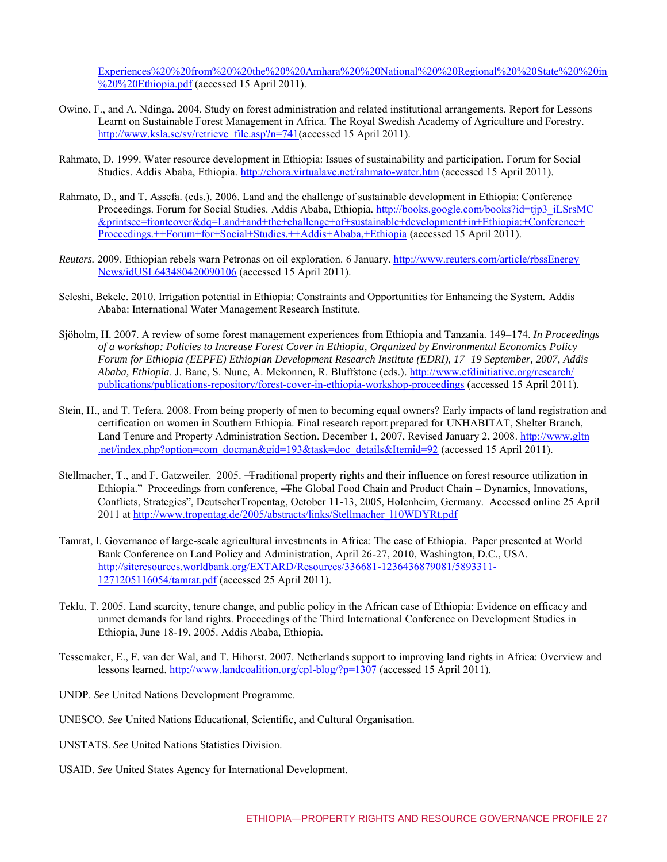Experiences%20%20from%20%20the%20%20Amhara%20%20National%20%20Regional%20%20State%20%20in  $\frac{1}{20\%20\%20}$ Ethiopia.pdf (accessed 15 April 2011).

- Owino, F., and A. Ndinga. 2004. Study on forest administration and related institutional arrangements. Report for Lessons Learnt on Sustainable Forest Management in Africa. The Royal Swedish Academy of Agriculture and Forestry. [http://www.ksla.se/sv/retrieve\\_file.asp?n=741\(](http://www.ksla.se/sv/retrieve_file.asp?n=741)accessed 15 April 2011).
- Rahmato, D. 1999. Water resource development in Ethiopia: Issues of sustainability and participation. Forum for Social Studies. Addis Ababa, Ethiopia. [http://chora.virtualave.net/rahmato-water.htm \(](http://chora.virtualave.net/rahmato-water.htm)accessed 15 April 2011).
- Rahmato, D., and T. Assefa. (eds.). 2006. Land and the challenge of sustainable development in Ethiopia: Conference Proceedings. Forum for Social Studies. Addis Ababa, Ethiopia. [http://books.google.com/books?id=tjp3\\_iLSrsMC](http://books.google.com/books?id=tjp3_iLSrsMC&printsec=frontcover&dq=Land+and+the+challenge+of+sustainable+development+in+Ethiopia:+Conference+Proceedings.++Forum+for+Social+Studies.++Addis+Ababa,+Ethiopia) [&printsec=frontcover&dq=Land+and+the+challenge+of+sustainable+development+in+Ethiopia:+Conference+](http://books.google.com/books?id=tjp3_iLSrsMC&printsec=frontcover&dq=Land+and+the+challenge+of+sustainable+development+in+Ethiopia:+Conference+Proceedings.++Forum+for+Social+Studies.++Addis+Ababa,+Ethiopia) [Proceedings.++Forum+for+Social+Studies.++Addis+Ababa,+Ethiopia](http://books.google.com/books?id=tjp3_iLSrsMC&printsec=frontcover&dq=Land+and+the+challenge+of+sustainable+development+in+Ethiopia:+Conference+Proceedings.++Forum+for+Social+Studies.++Addis+Ababa,+Ethiopia) (accessed 15 April 2011).
- *Reuters.* 2009. Ethiopian rebels warn Petronas on oil exploration. 6 January. [http://www.reuters.com/article/rbssEnergy](http://www.reuters.com/article/rbssEnergyNews/idUSL643480420090106) [News/idUSL643480420090106](http://www.reuters.com/article/rbssEnergyNews/idUSL643480420090106) (accessed 15 April 2011).
- Seleshi, Bekele. 2010. Irrigation potential in Ethiopia: Constraints and Opportunities for Enhancing the System. Addis Ababa: International Water Management Research Institute.
- Sjöholm, H. 2007. A review of some forest management experiences from Ethiopia and Tanzania. 149–174. *In Proceedings of a workshop: Policies to Increase Forest Cover in Ethiopia, Organized by Environmental Economics Policy Forum for Ethiopia (EEPFE) Ethiopian Development Research Institute (EDRI), 17–19 September, 2007, Addis Ababa, Ethiopia*. J. Bane, S. Nune, A. Mekonnen, R. Bluffstone (eds.). [http://www.efdinitiative.org/research/](http://www.efdinitiative.org/research/publications/publications-repository/forest-cover-in-ethiopia-workshop-proceedings) [publications/publications-repository/forest-cover-in-ethiopia-workshop-proceedings](http://www.efdinitiative.org/research/publications/publications-repository/forest-cover-in-ethiopia-workshop-proceedings) (accessed 15 April 2011).
- Stein, H., and T. Tefera. 2008. From being property of men to becoming equal owners? Early impacts of land registration and certification on women in Southern Ethiopia. Final research report prepared for UNHABITAT, Shelter Branch, Land Tenure and Property Administration Section. December 1, 2007, Revised January 2, 2008[. http://www.gltn](http://www.gltn.net/index.php?option=com_docman&gid=193&task=doc_details&Itemid=92) [.net/index.php?option=com\\_docman&gid=193&task=doc\\_details&Itemid=92](http://www.gltn.net/index.php?option=com_docman&gid=193&task=doc_details&Itemid=92) (accessed 15 April 2011).
- Stellmacher, T., and F. Gatzweiler. 2005. ―Traditional property rights and their influence on forest resource utilization in Ethiopia." Proceedings from conference, —The Global Food Chain and Product Chain – Dynamics, Innovations, Conflicts, Strategies‖, DeutscherTropentag, October 11-13, 2005, Holenheim, Germany. Accessed online 25 April 2011 at [http://www.tropentag.de/2005/abstracts/links/Stellmacher\\_l10WDYRt.pdf](http://www.tropentag.de/2005/abstracts/links/Stellmacher_l10WDYRt.pdf)
- Tamrat, I. Governance of large-scale agricultural investments in Africa: The case of Ethiopia. Paper presented at World Bank Conference on Land Policy and Administration, April 26-27, 2010, Washington, D.C., USA. [http://siteresources.worldbank.org/EXTARD/Resources/336681-1236436879081/5893311-](http://siteresources.worldbank.org/EXTARD/Resources/336681-1236436879081/5893311-1271205116054/tamrat.pdf) [1271205116054/tamrat.pdf](http://siteresources.worldbank.org/EXTARD/Resources/336681-1236436879081/5893311-1271205116054/tamrat.pdf) (accessed 25 April 2011).
- Teklu, T. 2005. Land scarcity, tenure change, and public policy in the African case of Ethiopia: Evidence on efficacy and unmet demands for land rights. Proceedings of the Third International Conference on Development Studies in Ethiopia, June 18-19, 2005. Addis Ababa, Ethiopia.
- Tessemaker, E., F. van der Wal, and T. Hihorst. 2007. Netherlands support to improving land rights in Africa: Overview and lessons learned.<http://www.landcoalition.org/cpl-blog/?p=1307>(accessed 15 April 2011).
- UNDP. *See* United Nations Development Programme.
- UNESCO. *See* United Nations Educational, Scientific, and Cultural Organisation.
- UNSTATS. *See* United Nations Statistics Division.
- USAID. *See* United States Agency for International Development.